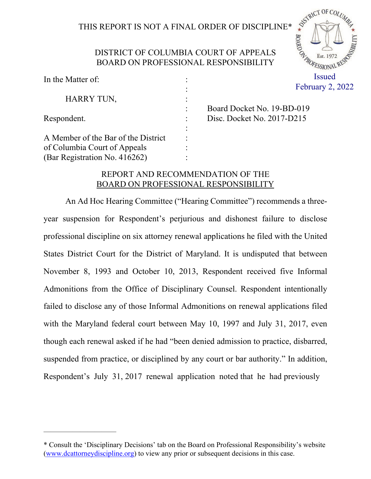# THIS REPORT IS NOT A FINAL ORDER OF DISCIPLINE\*

SISTERICT OF COLUMN

· BOARD OF

# DISTRICT OF COLUMBIA COURT OF APPEALS BOARD ON PROFESSIONAL RESPONSIBILITY

| In the Matter of:                   |                      | Issued                       |
|-------------------------------------|----------------------|------------------------------|
|                                     | $\bullet$            | February 2, 2022             |
| HARRY TUN,                          | $\ddot{\phantom{a}}$ |                              |
|                                     |                      | Board Docket No. 19-BD-019   |
| Respondent.                         |                      | Disc. Docket No. $2017-D215$ |
|                                     | $\ddot{\cdot}$       |                              |
| A Member of the Bar of the District |                      |                              |
| of Columbia Court of Appeals        |                      |                              |
| (Bar Registration No. 416262)       |                      |                              |

# REPORT AND RECOMMENDATION OF THE BOARD ON PROFESSIONAL RESPONSIBILITY

An Ad Hoc Hearing Committee ("Hearing Committee") recommends a threeyear suspension for Respondent's perjurious and dishonest failure to disclose professional discipline on six attorney renewal applications he filed with the United States District Court for the District of Maryland. It is undisputed that between November 8, 1993 and October 10, 2013, Respondent received five Informal Admonitions from the Office of Disciplinary Counsel. Respondent intentionally failed to disclose any of those Informal Admonitions on renewal applications filed with the Maryland federal court between May 10, 1997 and July 31, 2017, even though each renewal asked if he had "been denied admission to practice, disbarred, suspended from practice, or disciplined by any court or bar authority." In addition, Respondent's July 31, 2017 renewal application noted that he had previously

——————————

<sup>\*</sup> Consult the 'Disciplinary Decisions' tab on the Board on Professional Responsibility's website (www.dcattorneydiscipline.org) to view any prior or subsequent decisions in this case.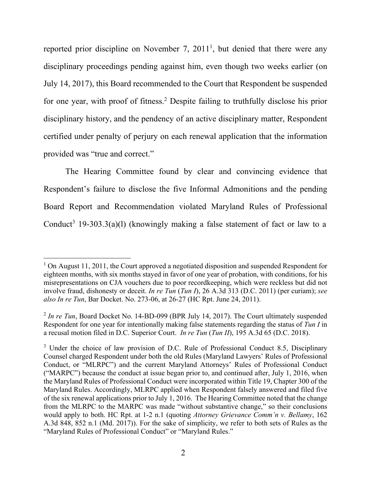reported prior discipline on November 7, 2011<sup>1</sup>, but denied that there were any disciplinary proceedings pending against him, even though two weeks earlier (on July 14, 2017), this Board recommended to the Court that Respondent be suspended for one year, with proof of fitness.2 Despite failing to truthfully disclose his prior disciplinary history, and the pendency of an active disciplinary matter, Respondent certified under penalty of perjury on each renewal application that the information provided was "true and correct."

The Hearing Committee found by clear and convincing evidence that Respondent's failure to disclose the five Informal Admonitions and the pending Board Report and Recommendation violated Maryland Rules of Professional Conduct<sup>3</sup> 19-303.3(a)(l) (knowingly making a false statement of fact or law to a

 $1$  On August 11, 2011, the Court approved a negotiated disposition and suspended Respondent for eighteen months, with six months stayed in favor of one year of probation, with conditions, for his misrepresentations on CJA vouchers due to poor recordkeeping, which were reckless but did not involve fraud, dishonesty or deceit. *In re Tun* (*Tun I*), 26 A.3d 313 (D.C. 2011) (per curiam); *see also In re Tun*, Bar Docket. No. 273-06, at 26-27 (HC Rpt. June 24, 2011).

<sup>&</sup>lt;sup>2</sup> In re Tun, Board Docket No. 14-BD-099 (BPR July 14, 2017). The Court ultimately suspended Respondent for one year for intentionally making false statements regarding the status of *Tun I* in a recusal motion filed in D.C. Superior Court. *In re Tun* (*Tun II*), 195 A.3d 65 (D.C. 2018).

<sup>&</sup>lt;sup>3</sup> Under the choice of law provision of D.C. Rule of Professional Conduct 8.5, Disciplinary Counsel charged Respondent under both the old Rules (Maryland Lawyers' Rules of Professional Conduct, or "MLRPC") and the current Maryland Attorneys' Rules of Professional Conduct ("MARPC") because the conduct at issue began prior to, and continued after, July 1, 2016, when the Maryland Rules of Professional Conduct were incorporated within Title 19, Chapter 300 of the Maryland Rules. Accordingly, MLRPC applied when Respondent falsely answered and filed five of the six renewal applications prior to July 1, 2016. The Hearing Committee noted that the change from the MLRPC to the MARPC was made "without substantive change," so their conclusions would apply to both. HC Rpt. at 1-2 n.1 (quoting *Attorney Grievance Comm'n v. Bellamy*, 162 A.3d 848, 852 n.1 (Md. 2017)). For the sake of simplicity, we refer to both sets of Rules as the "Maryland Rules of Professional Conduct" or "Maryland Rules."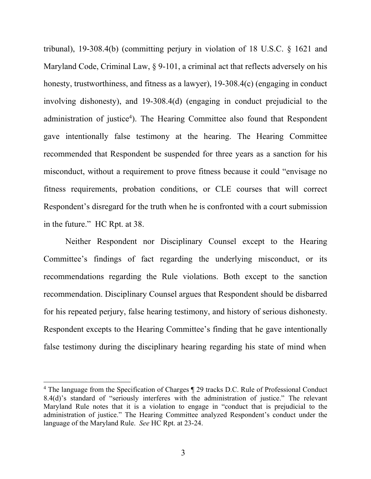tribunal), 19-308.4(b) (committing perjury in violation of 18 U.S.C. § 1621 and Maryland Code, Criminal Law, § 9-101, a criminal act that reflects adversely on his honesty, trustworthiness, and fitness as a lawyer), 19-308.4(c) (engaging in conduct involving dishonesty), and 19-308.4(d) (engaging in conduct prejudicial to the administration of justice<sup>4</sup>). The Hearing Committee also found that Respondent gave intentionally false testimony at the hearing. The Hearing Committee recommended that Respondent be suspended for three years as a sanction for his misconduct, without a requirement to prove fitness because it could "envisage no fitness requirements, probation conditions, or CLE courses that will correct Respondent's disregard for the truth when he is confronted with a court submission in the future." HC Rpt. at 38.

Neither Respondent nor Disciplinary Counsel except to the Hearing Committee's findings of fact regarding the underlying misconduct, or its recommendations regarding the Rule violations. Both except to the sanction recommendation. Disciplinary Counsel argues that Respondent should be disbarred for his repeated perjury, false hearing testimony, and history of serious dishonesty. Respondent excepts to the Hearing Committee's finding that he gave intentionally false testimony during the disciplinary hearing regarding his state of mind when

<sup>4</sup> The language from the Specification of Charges ¶ 29 tracks D.C. Rule of Professional Conduct 8.4(d)'s standard of "seriously interferes with the administration of justice." The relevant Maryland Rule notes that it is a violation to engage in "conduct that is prejudicial to the administration of justice." The Hearing Committee analyzed Respondent's conduct under the language of the Maryland Rule. *See* HC Rpt. at 23-24.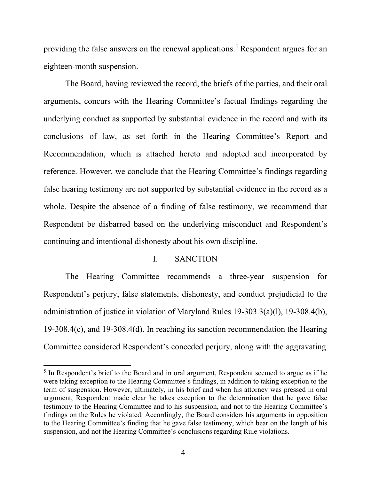providing the false answers on the renewal applications.<sup>5</sup> Respondent argues for an eighteen-month suspension.

The Board, having reviewed the record, the briefs of the parties, and their oral arguments, concurs with the Hearing Committee's factual findings regarding the underlying conduct as supported by substantial evidence in the record and with its conclusions of law, as set forth in the Hearing Committee's Report and Recommendation, which is attached hereto and adopted and incorporated by reference. However, we conclude that the Hearing Committee's findings regarding false hearing testimony are not supported by substantial evidence in the record as a whole. Despite the absence of a finding of false testimony, we recommend that Respondent be disbarred based on the underlying misconduct and Respondent's continuing and intentional dishonesty about his own discipline.

### I. SANCTION

The Hearing Committee recommends a three-year suspension for Respondent's perjury, false statements, dishonesty, and conduct prejudicial to the administration of justice in violation of Maryland Rules 19-303.3(a)(l), 19-308.4(b), 19-308.4(c), and 19-308.4(d). In reaching its sanction recommendation the Hearing Committee considered Respondent's conceded perjury, along with the aggravating

<sup>&</sup>lt;sup>5</sup> In Respondent's brief to the Board and in oral argument, Respondent seemed to argue as if he were taking exception to the Hearing Committee's findings, in addition to taking exception to the term of suspension. However, ultimately, in his brief and when his attorney was pressed in oral argument, Respondent made clear he takes exception to the determination that he gave false testimony to the Hearing Committee and to his suspension, and not to the Hearing Committee's findings on the Rules he violated. Accordingly, the Board considers his arguments in opposition to the Hearing Committee's finding that he gave false testimony, which bear on the length of his suspension, and not the Hearing Committee's conclusions regarding Rule violations.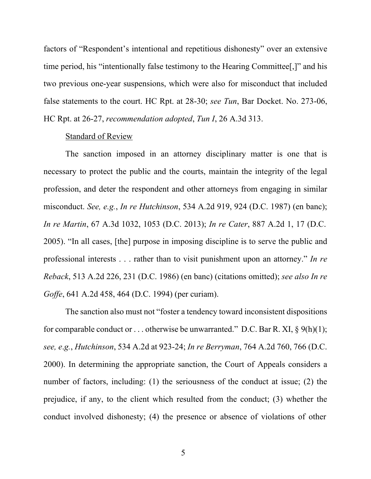factors of "Respondent's intentional and repetitious dishonesty" over an extensive time period, his "intentionally false testimony to the Hearing Committee[,]" and his two previous one-year suspensions, which were also for misconduct that included false statements to the court. HC Rpt. at 28-30; *see Tun*, Bar Docket. No. 273-06, HC Rpt. at 26-27, *recommendation adopted*, *Tun I*, 26 A.3d 313.

#### Standard of Review

The sanction imposed in an attorney disciplinary matter is one that is necessary to protect the public and the courts, maintain the integrity of the legal profession, and deter the respondent and other attorneys from engaging in similar misconduct. *See, e.g.*, *In re Hutchinson*, 534 A.2d 919, 924 (D.C. 1987) (en banc); *In re Martin*, 67 A.3d 1032, 1053 (D.C. 2013); *In re Cater*, 887 A.2d 1, 17 (D.C. 2005). "In all cases, [the] purpose in imposing discipline is to serve the public and professional interests . . . rather than to visit punishment upon an attorney." *In re Reback*, 513 A.2d 226, 231 (D.C. 1986) (en banc) (citations omitted); *see also In re Goffe*, 641 A.2d 458, 464 (D.C. 1994) (per curiam).

The sanction also must not "foster a tendency toward inconsistent dispositions for comparable conduct or ... otherwise be unwarranted." D.C. Bar R. XI,  $\S$  9(h)(1); *see, e*.*g.*, *Hutchinson*, 534 A.2d at 923-24; *In re Berryman*, 764 A.2d 760, 766 (D.C. 2000). In determining the appropriate sanction, the Court of Appeals considers a number of factors, including: (1) the seriousness of the conduct at issue; (2) the prejudice, if any, to the client which resulted from the conduct; (3) whether the conduct involved dishonesty; (4) the presence or absence of violations of other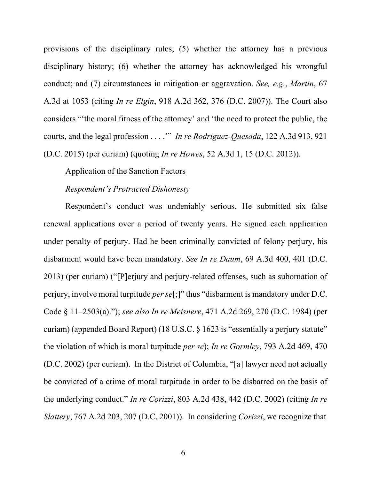provisions of the disciplinary rules; (5) whether the attorney has a previous disciplinary history; (6) whether the attorney has acknowledged his wrongful conduct; and (7) circumstances in mitigation or aggravation. *See, e.g.*, *Martin*, 67 A.3d at 1053 (citing *In re Elgin*, 918 A.2d 362, 376 (D.C. 2007)). The Court also considers "'the moral fitness of the attorney' and 'the need to protect the public, the courts, and the legal profession . . . .'" *In re Rodriguez-Quesada*, 122 A.3d 913, 921 (D.C. 2015) (per curiam) (quoting *In re Howes*, 52 A.3d 1, 15 (D.C. 2012)).

## Application of the Sanction Factors

#### *Respondent's Protracted Dishonesty*

Respondent's conduct was undeniably serious. He submitted six false renewal applications over a period of twenty years. He signed each application under penalty of perjury. Had he been criminally convicted of felony perjury, his disbarment would have been mandatory. *See In re Daum*, 69 A.3d 400, 401 (D.C. 2013) (per curiam) ("[P]erjury and perjury-related offenses, such as subornation of perjury, involve moral turpitude *per se*[;]" thus "disbarment is mandatory under D.C. Code § 11–2503(a)."); *see also In re Meisnere*, 471 A.2d 269, 270 (D.C. 1984) (per curiam) (appended Board Report) (18 U.S.C. § 1623 is "essentially a perjury statute" the violation of which is moral turpitude *per se*); *In re Gormley*, 793 A.2d 469, 470 (D.C. 2002) (per curiam). In the District of Columbia, "[a] lawyer need not actually be convicted of a crime of moral turpitude in order to be disbarred on the basis of the underlying conduct." *In re Corizzi*, 803 A.2d 438, 442 (D.C. 2002) (citing *In re Slattery*, 767 A.2d 203, 207 (D.C. 2001)). In considering *Corizzi*, we recognize that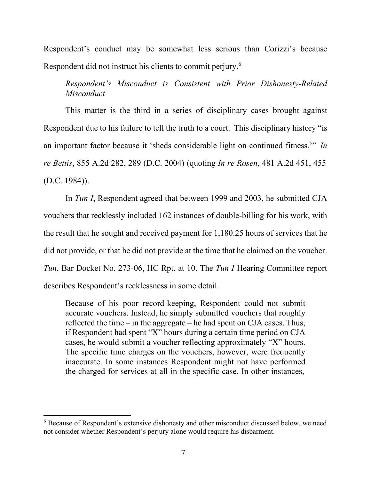Respondent's conduct may be somewhat less serious than Corizzi's because Respondent did not instruct his clients to commit perjury.6

*Respondent's Misconduct is Consistent with Prior Dishonesty-Related Misconduct*

This matter is the third in a series of disciplinary cases brought against Respondent due to his failure to tell the truth to a court. This disciplinary history "is an important factor because it 'sheds considerable light on continued fitness.'" *In re Bettis*, 855 A.2d 282, 289 (D.C. 2004) (quoting *In re Rosen*, 481 A.2d 451, 455 (D.C. 1984)).

In *Tun I*, Respondent agreed that between 1999 and 2003, he submitted CJA vouchers that recklessly included 162 instances of double-billing for his work, with the result that he sought and received payment for 1,180.25 hours of services that he did not provide, or that he did not provide at the time that he claimed on the voucher. *Tun*, Bar Docket No. 273-06, HC Rpt. at 10. The *Tun I* Hearing Committee report describes Respondent's recklessness in some detail.

Because of his poor record-keeping, Respondent could not submit accurate vouchers. Instead, he simply submitted vouchers that roughly reflected the time – in the aggregate – he had spent on CJA cases. Thus, if Respondent had spent "X" hours during a certain time period on CJA cases, he would submit a voucher reflecting approximately "X" hours. The specific time charges on the vouchers, however, were frequently inaccurate. In some instances Respondent might not have performed the charged-for services at all in the specific case. In other instances,

<sup>&</sup>lt;sup>6</sup> Because of Respondent's extensive dishonesty and other misconduct discussed below, we need not consider whether Respondent's perjury alone would require his disbarment.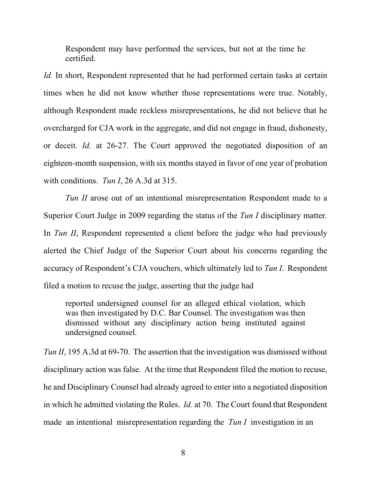Respondent may have performed the services, but not at the time he certified.

*Id.* In short, Respondent represented that he had performed certain tasks at certain times when he did not know whether those representations were true. Notably, although Respondent made reckless misrepresentations, he did not believe that he overcharged for CJA work in the aggregate, and did not engage in fraud, dishonesty, or deceit. *Id.* at 26-27. The Court approved the negotiated disposition of an eighteen-month suspension, with six months stayed in favor of one year of probation with conditions. *Tun I*, 26 A.3d at 315.

*Tun II* arose out of an intentional misrepresentation Respondent made to a Superior Court Judge in 2009 regarding the status of the *Tun I* disciplinary matter. In *Tun II*, Respondent represented a client before the judge who had previously alerted the Chief Judge of the Superior Court about his concerns regarding the accuracy of Respondent's CJA vouchers, which ultimately led to *Tun I*. Respondent filed a motion to recuse the judge, asserting that the judge had

reported undersigned counsel for an alleged ethical violation, which was then investigated by D.C. Bar Counsel. The investigation was then dismissed without any disciplinary action being instituted against undersigned counsel.

*Tun II*, 195 A.3d at 69-70. The assertion that the investigation was dismissed without disciplinary action was false. At the time that Respondent filed the motion to recuse, he and Disciplinary Counsel had already agreed to enter into a negotiated disposition in which he admitted violating the Rules. *Id.* at 70. The Court found that Respondent made an intentional misrepresentation regarding the *Tun I* investigation in an

8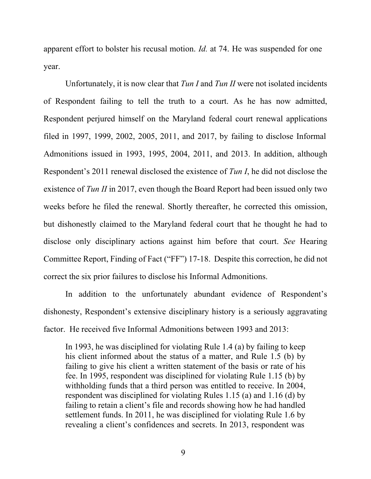apparent effort to bolster his recusal motion. *Id.* at 74. He was suspended for one year.

Unfortunately, it is now clear that *Tun I* and *Tun II* were not isolated incidents of Respondent failing to tell the truth to a court. As he has now admitted, Respondent perjured himself on the Maryland federal court renewal applications filed in 1997, 1999, 2002, 2005, 2011, and 2017, by failing to disclose Informal Admonitions issued in 1993, 1995, 2004, 2011, and 2013. In addition, although Respondent's 2011 renewal disclosed the existence of *Tun I*, he did not disclose the existence of *Tun II* in 2017, even though the Board Report had been issued only two weeks before he filed the renewal. Shortly thereafter, he corrected this omission, but dishonestly claimed to the Maryland federal court that he thought he had to disclose only disciplinary actions against him before that court. *See* Hearing Committee Report, Finding of Fact ("FF") 17-18. Despite this correction, he did not correct the six prior failures to disclose his Informal Admonitions.

In addition to the unfortunately abundant evidence of Respondent's dishonesty, Respondent's extensive disciplinary history is a seriously aggravating factor. He received five Informal Admonitions between 1993 and 2013:

In 1993, he was disciplined for violating Rule 1.4 (a) by failing to keep his client informed about the status of a matter, and Rule 1.5 (b) by failing to give his client a written statement of the basis or rate of his fee. In 1995, respondent was disciplined for violating Rule 1.15 (b) by withholding funds that a third person was entitled to receive. In 2004, respondent was disciplined for violating Rules 1.15 (a) and 1.16 (d) by failing to retain a client's file and records showing how he had handled settlement funds. In 2011, he was disciplined for violating Rule 1.6 by revealing a client's confidences and secrets. In 2013, respondent was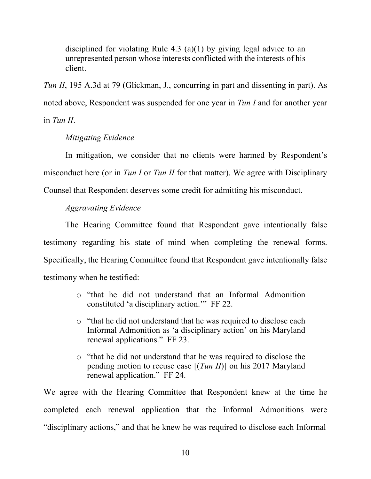disciplined for violating Rule 4.3 (a)(1) by giving legal advice to an unrepresented person whose interests conflicted with the interests of his client.

*Tun II*, 195 A.3d at 79 (Glickman, J., concurring in part and dissenting in part). As noted above, Respondent was suspended for one year in *Tun I* and for another year in *Tun II*.

# *Mitigating Evidence*

In mitigation, we consider that no clients were harmed by Respondent's misconduct here (or in *Tun I* or *Tun II* for that matter). We agree with Disciplinary Counsel that Respondent deserves some credit for admitting his misconduct.

# *Aggravating Evidence*

The Hearing Committee found that Respondent gave intentionally false testimony regarding his state of mind when completing the renewal forms. Specifically, the Hearing Committee found that Respondent gave intentionally false testimony when he testified:

- o "that he did not understand that an Informal Admonition constituted 'a disciplinary action.'" FF 22.
- o "that he did not understand that he was required to disclose each Informal Admonition as 'a disciplinary action' on his Maryland renewal applications." FF 23.
- o "that he did not understand that he was required to disclose the pending motion to recuse case [(*Tun II*)] on his 2017 Maryland renewal application." FF 24.

We agree with the Hearing Committee that Respondent knew at the time he completed each renewal application that the Informal Admonitions were "disciplinary actions," and that he knew he was required to disclose each Informal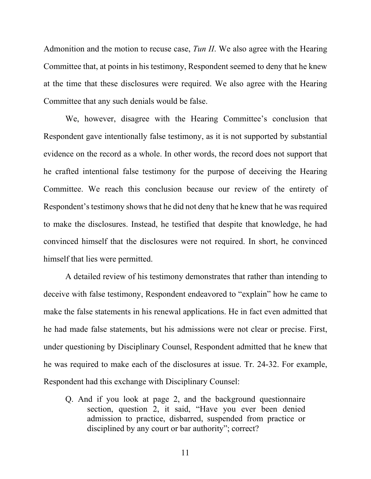Admonition and the motion to recuse case, *Tun II*. We also agree with the Hearing Committee that, at points in his testimony, Respondent seemed to deny that he knew at the time that these disclosures were required. We also agree with the Hearing Committee that any such denials would be false.

We, however, disagree with the Hearing Committee's conclusion that Respondent gave intentionally false testimony, as it is not supported by substantial evidence on the record as a whole. In other words, the record does not support that he crafted intentional false testimony for the purpose of deceiving the Hearing Committee. We reach this conclusion because our review of the entirety of Respondent's testimony shows that he did not deny that he knew that he was required to make the disclosures. Instead, he testified that despite that knowledge, he had convinced himself that the disclosures were not required. In short, he convinced himself that lies were permitted.

A detailed review of his testimony demonstrates that rather than intending to deceive with false testimony, Respondent endeavored to "explain" how he came to make the false statements in his renewal applications. He in fact even admitted that he had made false statements, but his admissions were not clear or precise. First, under questioning by Disciplinary Counsel, Respondent admitted that he knew that he was required to make each of the disclosures at issue. Tr. 24-32. For example, Respondent had this exchange with Disciplinary Counsel:

Q. And if you look at page 2, and the background questionnaire section, question 2, it said, "Have you ever been denied admission to practice, disbarred, suspended from practice or disciplined by any court or bar authority"; correct?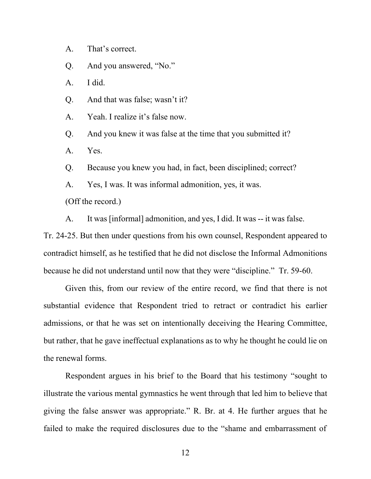A. That's correct.

Q. And you answered, "No."

A. I did.

Q. And that was false; wasn't it?

A. Yeah. I realize it's false now.

Q. And you knew it was false at the time that you submitted it?

A. Yes.

Q. Because you knew you had, in fact, been disciplined; correct?

A. Yes, I was. It was informal admonition, yes, it was.

(Off the record.)

A. It was [informal] admonition, and yes, I did. It was -- it was false.

Tr. 24-25. But then under questions from his own counsel, Respondent appeared to contradict himself, as he testified that he did not disclose the Informal Admonitions because he did not understand until now that they were "discipline." Tr. 59-60.

Given this, from our review of the entire record, we find that there is not substantial evidence that Respondent tried to retract or contradict his earlier admissions, or that he was set on intentionally deceiving the Hearing Committee, but rather, that he gave ineffectual explanations as to why he thought he could lie on the renewal forms.

Respondent argues in his brief to the Board that his testimony "sought to illustrate the various mental gymnastics he went through that led him to believe that giving the false answer was appropriate." R. Br. at 4. He further argues that he failed to make the required disclosures due to the "shame and embarrassment of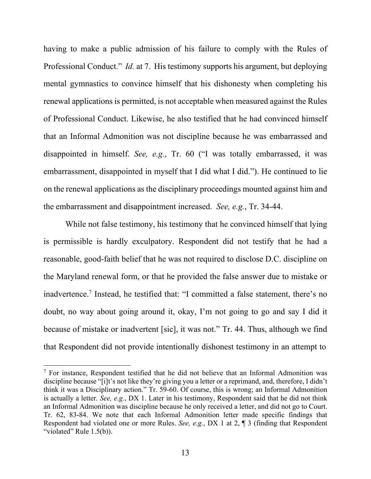having to make a public admission of his failure to comply with the Rules of Professional Conduct." *Id.* at 7. His testimony supports his argument, but deploying mental gymnastics to convince himself that his dishonesty when completing his renewal applications is permitted, is not acceptable when measured against the Rules of Professional Conduct. Likewise, he also testified that he had convinced himself that an Informal Admonition was not discipline because he was embarrassed and disappointed in himself. *See, e.g.*, Tr. 60 ("I was totally embarrassed, it was embarrassment, disappointed in myself that I did what I did."). He continued to lie on the renewal applications as the disciplinary proceedings mounted against him and the embarrassment and disappointment increased. *See, e.g.*, Tr. 34-44.

While not false testimony, his testimony that he convinced himself that lying is permissible is hardly exculpatory. Respondent did not testify that he had a reasonable, good-faith belief that he was not required to disclose D.C. discipline on the Maryland renewal form, or that he provided the false answer due to mistake or inadvertence.<sup>7</sup> Instead, he testified that: "I committed a false statement, there's no doubt, no way about going around it, okay, I'm not going to go and say I did it because of mistake or inadvertent [sic], it was not." Tr. 44. Thus, although we find that Respondent did not provide intentionally dishonest testimony in an attempt to

<sup>7</sup> For instance, Respondent testified that he did not believe that an Informal Admonition was discipline because "[i]t's not like they're giving you a letter or a reprimand, and, therefore, I didn't think it was a Disciplinary action." Tr. 59-60. Of course, this is wrong; an Informal Admonition is actually a letter. *See, e.g.*, DX 1. Later in his testimony, Respondent said that he did not think an Informal Admonition was discipline because he only received a letter, and did not go to Court. Tr. 62, 83-84. We note that each Informal Admonition letter made specific findings that Respondent had violated one or more Rules. *See, e.g.*, DX 1 at 2, ¶ 3 (finding that Respondent "violated" Rule 1.5(b)).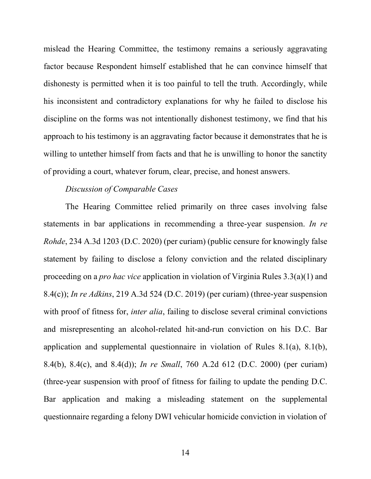mislead the Hearing Committee, the testimony remains a seriously aggravating factor because Respondent himself established that he can convince himself that dishonesty is permitted when it is too painful to tell the truth. Accordingly, while his inconsistent and contradictory explanations for why he failed to disclose his discipline on the forms was not intentionally dishonest testimony, we find that his approach to his testimony is an aggravating factor because it demonstrates that he is willing to untether himself from facts and that he is unwilling to honor the sanctity of providing a court, whatever forum, clear, precise, and honest answers.

#### *Discussion of Comparable Cases*

The Hearing Committee relied primarily on three cases involving false statements in bar applications in recommending a three-year suspension. *In re Rohde*, 234 A.3d 1203 (D.C. 2020) (per curiam) (public censure for knowingly false statement by failing to disclose a felony conviction and the related disciplinary proceeding on a *pro hac vice* application in violation of Virginia Rules 3.3(a)(1) and 8.4(c)); *In re Adkins*, 219 A.3d 524 (D.C. 2019) (per curiam) (three-year suspension with proof of fitness for, *inter alia*, failing to disclose several criminal convictions and misrepresenting an alcohol-related hit-and-run conviction on his D.C. Bar application and supplemental questionnaire in violation of Rules 8.1(a), 8.1(b), 8.4(b), 8.4(c), and 8.4(d)); *In re Small*, 760 A.2d 612 (D.C. 2000) (per curiam) (three-year suspension with proof of fitness for failing to update the pending D.C. Bar application and making a misleading statement on the supplemental questionnaire regarding a felony DWI vehicular homicide conviction in violation of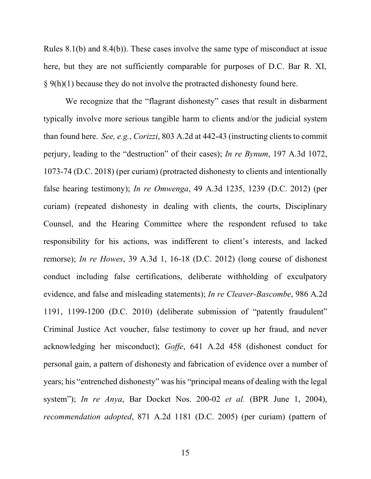Rules 8.1(b) and 8.4(b)). These cases involve the same type of misconduct at issue here, but they are not sufficiently comparable for purposes of D.C. Bar R. XI,  $\S$  9(h)(1) because they do not involve the protracted dishonesty found here.

We recognize that the "flagrant dishonesty" cases that result in disbarment typically involve more serious tangible harm to clients and/or the judicial system than found here. *See, e.g.*, *Corizzi*, 803 A.2d at 442-43 (instructing clients to commit perjury, leading to the "destruction" of their cases); *In re Bynum*, 197 A.3d 1072, 1073-74 (D.C. 2018) (per curiam) (protracted dishonesty to clients and intentionally false hearing testimony); *In re Omwenga*, 49 A.3d 1235, 1239 (D.C. 2012) (per curiam) (repeated dishonesty in dealing with clients, the courts, Disciplinary Counsel, and the Hearing Committee where the respondent refused to take responsibility for his actions, was indifferent to client's interests, and lacked remorse); *In re Howes*, 39 A.3d 1, 16-18 (D.C. 2012) (long course of dishonest conduct including false certifications, deliberate withholding of exculpatory evidence, and false and misleading statements); *In re Cleaver-Bascombe*, 986 A.2d 1191, 1199-1200 (D.C. 2010) (deliberate submission of "patently fraudulent" Criminal Justice Act voucher, false testimony to cover up her fraud, and never acknowledging her misconduct); *Goffe*, 641 A.2d 458 (dishonest conduct for personal gain, a pattern of dishonesty and fabrication of evidence over a number of years; his "entrenched dishonesty" was his "principal means of dealing with the legal system"); *In re Anya*, Bar Docket Nos. 200-02 *et al.* (BPR June 1, 2004), *recommendation adopted*, 871 A.2d 1181 (D.C. 2005) (per curiam) (pattern of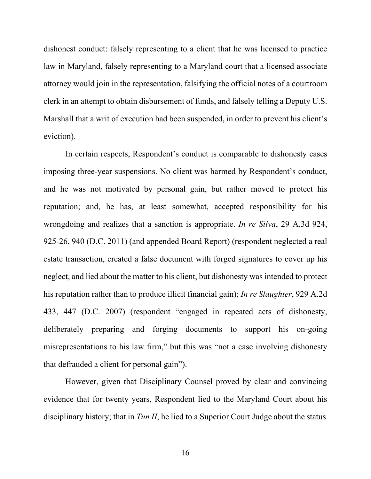dishonest conduct: falsely representing to a client that he was licensed to practice law in Maryland, falsely representing to a Maryland court that a licensed associate attorney would join in the representation, falsifying the official notes of a courtroom clerk in an attempt to obtain disbursement of funds, and falsely telling a Deputy U.S. Marshall that a writ of execution had been suspended, in order to prevent his client's eviction).

In certain respects, Respondent's conduct is comparable to dishonesty cases imposing three-year suspensions. No client was harmed by Respondent's conduct, and he was not motivated by personal gain, but rather moved to protect his reputation; and, he has, at least somewhat, accepted responsibility for his wrongdoing and realizes that a sanction is appropriate. *In re Silva*, 29 A.3d 924, 925-26, 940 (D.C. 2011) (and appended Board Report) (respondent neglected a real estate transaction, created a false document with forged signatures to cover up his neglect, and lied about the matter to his client, but dishonesty was intended to protect his reputation rather than to produce illicit financial gain); *In re Slaughter*, 929 A.2d 433, 447 (D.C. 2007) (respondent "engaged in repeated acts of dishonesty, deliberately preparing and forging documents to support his on-going misrepresentations to his law firm," but this was "not a case involving dishonesty that defrauded a client for personal gain").

However, given that Disciplinary Counsel proved by clear and convincing evidence that for twenty years, Respondent lied to the Maryland Court about his disciplinary history; that in *Tun II*, he lied to a Superior Court Judge about the status

16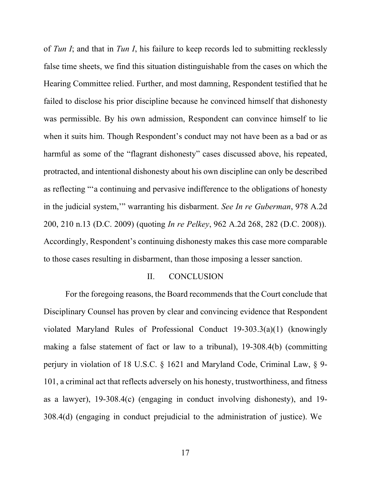of *Tun I*; and that in *Tun I*, his failure to keep records led to submitting recklessly false time sheets, we find this situation distinguishable from the cases on which the Hearing Committee relied. Further, and most damning, Respondent testified that he failed to disclose his prior discipline because he convinced himself that dishonesty was permissible. By his own admission, Respondent can convince himself to lie when it suits him. Though Respondent's conduct may not have been as a bad or as harmful as some of the "flagrant dishonesty" cases discussed above, his repeated, protracted, and intentional dishonesty about his own discipline can only be described as reflecting "'a continuing and pervasive indifference to the obligations of honesty in the judicial system,'" warranting his disbarment. *See In re Guberman*, 978 A.2d 200, 210 n.13 (D.C. 2009) (quoting *In re Pelkey*, 962 A.2d 268, 282 (D.C. 2008)). Accordingly, Respondent's continuing dishonesty makes this case more comparable to those cases resulting in disbarment, than those imposing a lesser sanction.

#### II. CONCLUSION

For the foregoing reasons, the Board recommends that the Court conclude that Disciplinary Counsel has proven by clear and convincing evidence that Respondent violated Maryland Rules of Professional Conduct 19-303.3(a)(1) (knowingly making a false statement of fact or law to a tribunal), 19-308.4(b) (committing perjury in violation of 18 U.S.C. § 1621 and Maryland Code, Criminal Law, § 9- 101, a criminal act that reflects adversely on his honesty, trustworthiness, and fitness as a lawyer), 19-308.4(c) (engaging in conduct involving dishonesty), and 19- 308.4(d) (engaging in conduct prejudicial to the administration of justice). We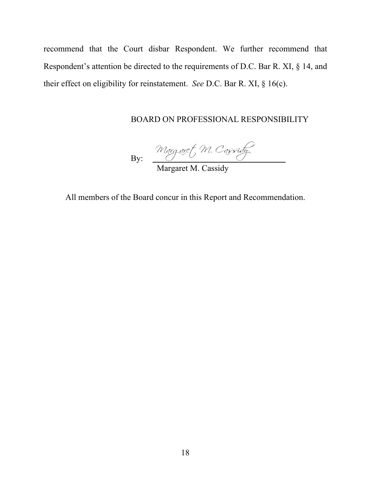recommend that the Court disbar Respondent. We further recommend that Respondent's attention be directed to the requirements of D.C. Bar R. XI, § 14, and their effect on eligibility for reinstatement. *See* D.C. Bar R. XI, § 16(c).

# BOARD ON PROFESSIONAL RESPONSIBILITY

By:

Margaret M. Cassidy

All members of the Board concur in this Report and Recommendation.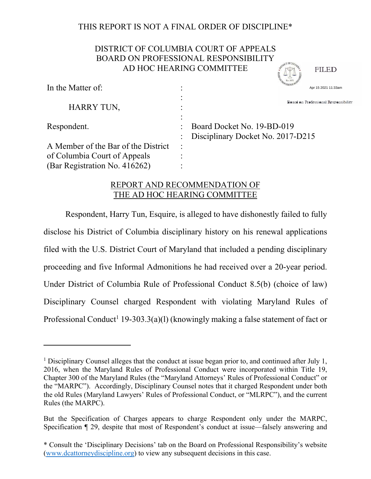# THIS REPORT IS NOT A FINAL ORDER OF DISCIPLINE\*

# DISTRICT OF COLUMBIA COURT OF APPEALS BOARD ON PROFESSIONAL RESPONSIBILITY AD HOC HEARING COMMITTEE

**FILED** 

| In the Matter of:                   |         | .777570<br>Apr 15 2021 11:33am       |
|-------------------------------------|---------|--------------------------------------|
| HARRY TUN,                          |         | Board on Professional Responsibility |
| Respondent.                         |         | Board Docket No. 19-BD-019           |
| A Member of the Bar of the District | $\cdot$ | Disciplinary Docket No. 2017-D215    |
| of Columbia Court of Appeals        |         |                                      |
| (Bar Registration No. 416262)       |         |                                      |

# REPORT AND RECOMMENDATION OF THE AD HOC HEARING COMMITTEE

Respondent, Harry Tun, Esquire, is alleged to have dishonestly failed to fully disclose his District of Columbia disciplinary history on his renewal applications filed with the U.S. District Court of Maryland that included a pending disciplinary proceeding and five Informal Admonitions he had received over a 20-year period. Under District of Columbia Rule of Professional Conduct 8.5(b) (choice of law) Disciplinary Counsel charged Respondent with violating Maryland Rules of Professional Conduct<sup>1</sup> 19-303.3(a)(l) (knowingly making a false statement of fact or

<sup>&</sup>lt;sup>1</sup> Disciplinary Counsel alleges that the conduct at issue began prior to, and continued after July 1, 2016, when the Maryland Rules of Professional Conduct were incorporated within Title 19, Chapter 300 of the Maryland Rules (the "Maryland Attorneys' Rules of Professional Conduct" or the "MARPC"). Accordingly, Disciplinary Counsel notes that it charged Respondent under both the old Rules (Maryland Lawyers' Rules of Professional Conduct, or "MLRPC"), and the current Rules (the MARPC).

But the Specification of Charges appears to charge Respondent only under the MARPC, Specification ¶ 29, despite that most of Respondent's conduct at issue—falsely answering and

<sup>\*</sup> Consult the 'Disciplinary Decisions' tab on the Board on Professional Responsibility's website (www.dcattorneydiscipline.org) to view any subsequent decisions in this case.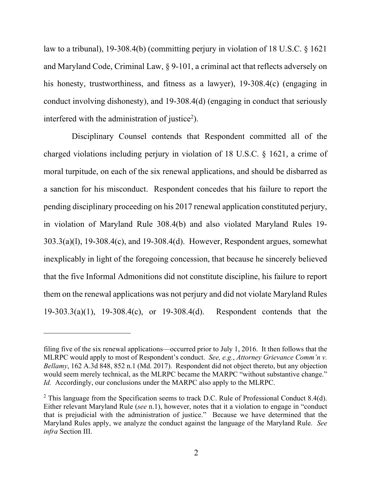law to a tribunal), 19-308.4(b) (committing perjury in violation of 18 U.S.C. § 1621 and Maryland Code, Criminal Law, § 9-101, a criminal act that reflects adversely on his honesty, trustworthiness, and fitness as a lawyer), 19-308.4(c) (engaging in conduct involving dishonesty), and 19-308.4(d) (engaging in conduct that seriously interfered with the administration of justice<sup>2</sup>).

 Disciplinary Counsel contends that Respondent committed all of the charged violations including perjury in violation of 18 U.S.C. § 1621, a crime of moral turpitude, on each of the six renewal applications, and should be disbarred as a sanction for his misconduct. Respondent concedes that his failure to report the pending disciplinary proceeding on his 2017 renewal application constituted perjury, in violation of Maryland Rule 308.4(b) and also violated Maryland Rules 19- 303.3(a)(l), 19-308.4(c), and 19-308.4(d). However, Respondent argues, somewhat inexplicably in light of the foregoing concession, that because he sincerely believed that the five Informal Admonitions did not constitute discipline, his failure to report them on the renewal applications was not perjury and did not violate Maryland Rules 19-303.3(a)(1), 19-308.4(c), or 19-308.4(d). Respondent contends that the

filing five of the six renewal applications—occurred prior to July 1, 2016. It then follows that the MLRPC would apply to most of Respondent's conduct. *See, e.g.*, *Attorney Grievance Comm'n v. Bellamy*, 162 A.3d 848, 852 n.1 (Md. 2017). Respondent did not object thereto, but any objection would seem merely technical, as the MLRPC became the MARPC "without substantive change." *Id.* Accordingly, our conclusions under the MARPC also apply to the MLRPC.

 $2$  This language from the Specification seems to track D.C. Rule of Professional Conduct 8.4(d). Either relevant Maryland Rule (*see* n.1), however, notes that it a violation to engage in "conduct that is prejudicial with the administration of justice." Because we have determined that the Maryland Rules apply, we analyze the conduct against the language of the Maryland Rule. *See infra* Section III.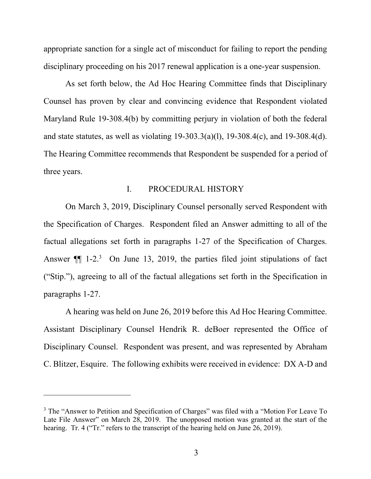appropriate sanction for a single act of misconduct for failing to report the pending disciplinary proceeding on his 2017 renewal application is a one-year suspension.

As set forth below, the Ad Hoc Hearing Committee finds that Disciplinary Counsel has proven by clear and convincing evidence that Respondent violated Maryland Rule 19-308.4(b) by committing perjury in violation of both the federal and state statutes, as well as violating 19-303.3(a)(l), 19-308.4(c), and 19-308.4(d). The Hearing Committee recommends that Respondent be suspended for a period of three years.

### I. PROCEDURAL HISTORY

On March 3, 2019, Disciplinary Counsel personally served Respondent with the Specification of Charges. Respondent filed an Answer admitting to all of the factual allegations set forth in paragraphs 1-27 of the Specification of Charges. Answer  $\P$  1-2.<sup>3</sup> On June 13, 2019, the parties filed joint stipulations of fact ("Stip."), agreeing to all of the factual allegations set forth in the Specification in paragraphs 1-27.

A hearing was held on June 26, 2019 before this Ad Hoc Hearing Committee. Assistant Disciplinary Counsel Hendrik R. deBoer represented the Office of Disciplinary Counsel. Respondent was present, and was represented by Abraham C. Blitzer, Esquire. The following exhibits were received in evidence: DX A-D and

<sup>&</sup>lt;sup>3</sup> The "Answer to Petition and Specification of Charges" was filed with a "Motion For Leave To Late File Answer" on March 28, 2019. The unopposed motion was granted at the start of the hearing. Tr. 4 ("Tr." refers to the transcript of the hearing held on June 26, 2019).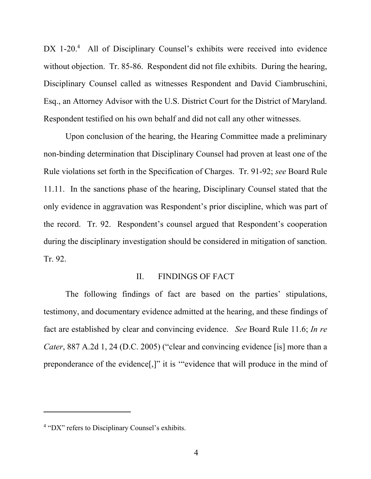DX 1-20.<sup>4</sup> All of Disciplinary Counsel's exhibits were received into evidence without objection. Tr. 85-86. Respondent did not file exhibits. During the hearing, Disciplinary Counsel called as witnesses Respondent and David Ciambruschini, Esq., an Attorney Advisor with the U.S. District Court for the District of Maryland. Respondent testified on his own behalf and did not call any other witnesses.

Upon conclusion of the hearing, the Hearing Committee made a preliminary non-binding determination that Disciplinary Counsel had proven at least one of the Rule violations set forth in the Specification of Charges. Tr. 91-92; *see* Board Rule 11.11. In the sanctions phase of the hearing, Disciplinary Counsel stated that the only evidence in aggravation was Respondent's prior discipline, which was part of the record. Tr. 92. Respondent's counsel argued that Respondent's cooperation during the disciplinary investigation should be considered in mitigation of sanction. Tr. 92.

### II. FINDINGS OF FACT

The following findings of fact are based on the parties' stipulations, testimony, and documentary evidence admitted at the hearing, and these findings of fact are established by clear and convincing evidence. *See* Board Rule 11.6; *In re Cater*, 887 A.2d 1, 24 (D.C. 2005) ("clear and convincing evidence [is] more than a preponderance of the evidence[,]" it is '"evidence that will produce in the mind of

<sup>&</sup>lt;sup>4</sup> "DX" refers to Disciplinary Counsel's exhibits.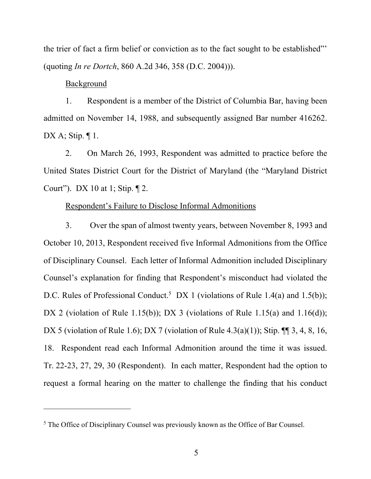the trier of fact a firm belief or conviction as to the fact sought to be established"' (quoting *In re Dortch*, 860 A.2d 346, 358 (D.C. 2004))).

### Background

1. Respondent is a member of the District of Columbia Bar, having been admitted on November 14, 1988, and subsequently assigned Bar number 416262. DX A; Stip.  $\P$  1.

2. On March 26, 1993, Respondent was admitted to practice before the United States District Court for the District of Maryland (the "Maryland District Court"). DX 10 at 1; Stip. ¶ 2.

## Respondent's Failure to Disclose Informal Admonitions

3. Over the span of almost twenty years, between November 8, 1993 and October 10, 2013, Respondent received five Informal Admonitions from the Office of Disciplinary Counsel. Each letter of Informal Admonition included Disciplinary Counsel's explanation for finding that Respondent's misconduct had violated the D.C. Rules of Professional Conduct.<sup>5</sup> DX 1 (violations of Rule 1.4(a) and 1.5(b)); DX 2 (violation of Rule 1.15(b)); DX 3 (violations of Rule 1.15(a) and 1.16(d)); DX 5 (violation of Rule 1.6); DX 7 (violation of Rule 4.3(a)(1)); Stip. ¶ 3, 4, 8, 16, 18. Respondent read each Informal Admonition around the time it was issued. Tr. 22-23, 27, 29, 30 (Respondent). In each matter, Respondent had the option to request a formal hearing on the matter to challenge the finding that his conduct

 $<sup>5</sup>$  The Office of Disciplinary Counsel was previously known as the Office of Bar Counsel.</sup>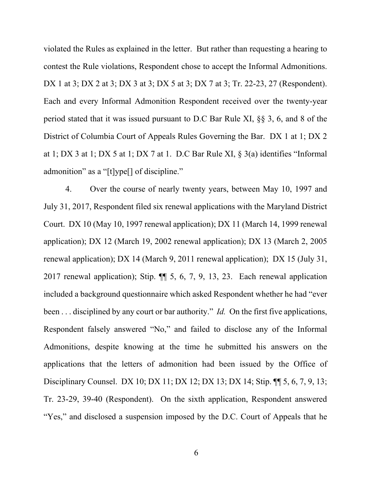violated the Rules as explained in the letter. But rather than requesting a hearing to contest the Rule violations, Respondent chose to accept the Informal Admonitions. DX 1 at 3; DX 2 at 3; DX 3 at 3; DX 5 at 3; DX 7 at 3; Tr. 22-23, 27 (Respondent). Each and every Informal Admonition Respondent received over the twenty-year period stated that it was issued pursuant to D.C Bar Rule XI, §§ 3, 6, and 8 of the District of Columbia Court of Appeals Rules Governing the Bar. DX 1 at 1; DX 2 at 1; DX 3 at 1; DX 5 at 1; DX 7 at 1. D.C Bar Rule XI, § 3(a) identifies "Informal admonition" as a "[t]ype[] of discipline."

4. Over the course of nearly twenty years, between May 10, 1997 and July 31, 2017, Respondent filed six renewal applications with the Maryland District Court. DX 10 (May 10, 1997 renewal application); DX 11 (March 14, 1999 renewal application); DX 12 (March 19, 2002 renewal application); DX 13 (March 2, 2005 renewal application); DX 14 (March 9, 2011 renewal application); DX 15 (July 31, 2017 renewal application); Stip. ¶¶ 5, 6, 7, 9, 13, 23. Each renewal application included a background questionnaire which asked Respondent whether he had "ever been . . . disciplined by any court or bar authority." *Id.* On the first five applications, Respondent falsely answered "No," and failed to disclose any of the Informal Admonitions, despite knowing at the time he submitted his answers on the applications that the letters of admonition had been issued by the Office of Disciplinary Counsel. DX 10; DX 11; DX 12; DX 13; DX 14; Stip. ¶¶ 5, 6, 7, 9, 13; Tr. 23-29, 39-40 (Respondent). On the sixth application, Respondent answered "Yes," and disclosed a suspension imposed by the D.C. Court of Appeals that he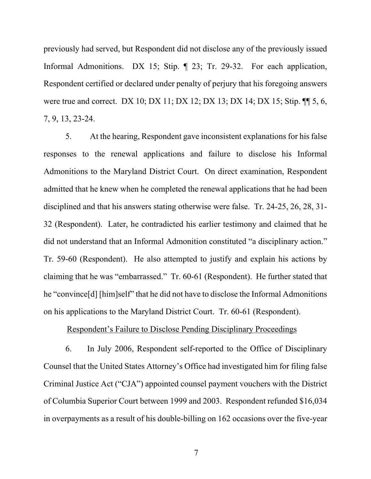previously had served, but Respondent did not disclose any of the previously issued Informal Admonitions. DX 15; Stip. 1. 23; Tr. 29-32. For each application, Respondent certified or declared under penalty of perjury that his foregoing answers were true and correct. DX 10; DX 11; DX 12; DX 13; DX 14; DX 15; Stip. ¶¶ 5, 6, 7, 9, 13, 23-24.

5. At the hearing, Respondent gave inconsistent explanations for his false responses to the renewal applications and failure to disclose his Informal Admonitions to the Maryland District Court. On direct examination, Respondent admitted that he knew when he completed the renewal applications that he had been disciplined and that his answers stating otherwise were false. Tr. 24-25, 26, 28, 31- 32 (Respondent). Later, he contradicted his earlier testimony and claimed that he did not understand that an Informal Admonition constituted "a disciplinary action." Tr. 59-60 (Respondent). He also attempted to justify and explain his actions by claiming that he was "embarrassed." Tr. 60-61 (Respondent). He further stated that he "convince[d] [him]self" that he did not have to disclose the Informal Admonitions on his applications to the Maryland District Court. Tr. 60-61 (Respondent).

#### Respondent's Failure to Disclose Pending Disciplinary Proceedings

6. In July 2006, Respondent self-reported to the Office of Disciplinary Counsel that the United States Attorney's Office had investigated him for filing false Criminal Justice Act ("CJA") appointed counsel payment vouchers with the District of Columbia Superior Court between 1999 and 2003. Respondent refunded \$16,034 in overpayments as a result of his double-billing on 162 occasions over the five-year

7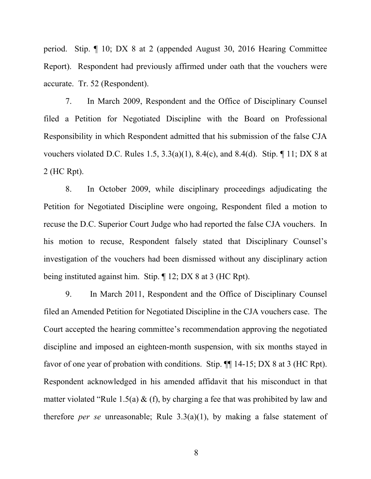period. Stip. ¶ 10; DX 8 at 2 (appended August 30, 2016 Hearing Committee Report). Respondent had previously affirmed under oath that the vouchers were accurate. Tr. 52 (Respondent).

7. In March 2009, Respondent and the Office of Disciplinary Counsel filed a Petition for Negotiated Discipline with the Board on Professional Responsibility in which Respondent admitted that his submission of the false CJA vouchers violated D.C. Rules 1.5,  $3.3(a)(1)$ ,  $8.4(c)$ , and  $8.4(d)$ . Stip.  $\P$  11; DX 8 at 2 (HC Rpt).

8. In October 2009, while disciplinary proceedings adjudicating the Petition for Negotiated Discipline were ongoing, Respondent filed a motion to recuse the D.C. Superior Court Judge who had reported the false CJA vouchers. In his motion to recuse, Respondent falsely stated that Disciplinary Counsel's investigation of the vouchers had been dismissed without any disciplinary action being instituted against him. Stip. ¶ 12; DX 8 at 3 (HC Rpt).

9. In March 2011, Respondent and the Office of Disciplinary Counsel filed an Amended Petition for Negotiated Discipline in the CJA vouchers case. The Court accepted the hearing committee's recommendation approving the negotiated discipline and imposed an eighteen-month suspension, with six months stayed in favor of one year of probation with conditions. Stip.  $\P\P$  14-15; DX 8 at 3 (HC Rpt). Respondent acknowledged in his amended affidavit that his misconduct in that matter violated "Rule 1.5(a) & (f), by charging a fee that was prohibited by law and therefore *per se* unreasonable; Rule 3.3(a)(1), by making a false statement of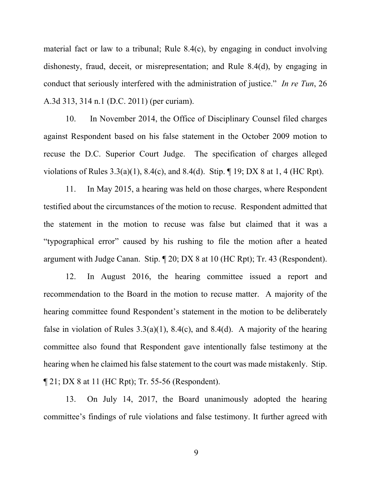material fact or law to a tribunal; Rule 8.4(c), by engaging in conduct involving dishonesty, fraud, deceit, or misrepresentation; and Rule 8.4(d), by engaging in conduct that seriously interfered with the administration of justice." *In re Tun*, 26 A.3d 313, 314 n.1 (D.C. 2011) (per curiam).

10. In November 2014, the Office of Disciplinary Counsel filed charges against Respondent based on his false statement in the October 2009 motion to recuse the D.C. Superior Court Judge. The specification of charges alleged violations of Rules 3.3(a)(1), 8.4(c), and 8.4(d). Stip. ¶ 19; DX 8 at 1, 4 (HC Rpt).

11. In May 2015, a hearing was held on those charges, where Respondent testified about the circumstances of the motion to recuse. Respondent admitted that the statement in the motion to recuse was false but claimed that it was a "typographical error" caused by his rushing to file the motion after a heated argument with Judge Canan. Stip. ¶ 20; DX 8 at 10 (HC Rpt); Tr. 43 (Respondent).

12. In August 2016, the hearing committee issued a report and recommendation to the Board in the motion to recuse matter. A majority of the hearing committee found Respondent's statement in the motion to be deliberately false in violation of Rules  $3.3(a)(1)$ ,  $8.4(c)$ , and  $8.4(d)$ . A majority of the hearing committee also found that Respondent gave intentionally false testimony at the hearing when he claimed his false statement to the court was made mistakenly. Stip. ¶ 21; DX 8 at 11 (HC Rpt); Tr. 55-56 (Respondent).

13. On July 14, 2017, the Board unanimously adopted the hearing committee's findings of rule violations and false testimony. It further agreed with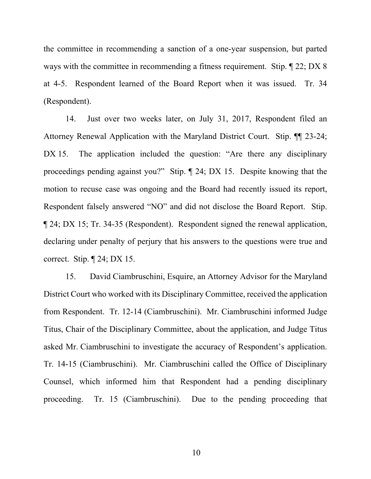the committee in recommending a sanction of a one-year suspension, but parted ways with the committee in recommending a fitness requirement. Stip. ¶ 22; DX 8 at 4-5. Respondent learned of the Board Report when it was issued. Tr. 34 (Respondent).

14. Just over two weeks later, on July 31, 2017, Respondent filed an Attorney Renewal Application with the Maryland District Court. Stip. ¶¶ 23-24; DX 15. The application included the question: "Are there any disciplinary proceedings pending against you?" Stip. ¶ 24; DX 15. Despite knowing that the motion to recuse case was ongoing and the Board had recently issued its report, Respondent falsely answered "NO" and did not disclose the Board Report. Stip. ¶ 24; DX 15; Tr. 34-35 (Respondent). Respondent signed the renewal application, declaring under penalty of perjury that his answers to the questions were true and correct. Stip. ¶ 24; DX 15.

15. David Ciambruschini, Esquire, an Attorney Advisor for the Maryland District Court who worked with its Disciplinary Committee, received the application from Respondent. Tr. 12-14 (Ciambruschini). Mr. Ciambruschini informed Judge Titus, Chair of the Disciplinary Committee, about the application, and Judge Titus asked Mr. Ciambruschini to investigate the accuracy of Respondent's application. Tr. 14-15 (Ciambruschini). Mr. Ciambruschini called the Office of Disciplinary Counsel, which informed him that Respondent had a pending disciplinary proceeding. Tr. 15 (Ciambruschini). Due to the pending proceeding that

10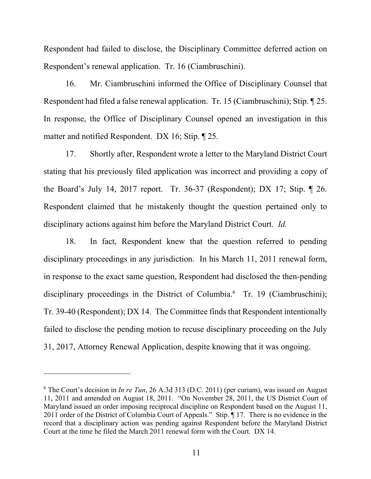Respondent had failed to disclose, the Disciplinary Committee deferred action on Respondent's renewal application. Tr. 16 (Ciambruschini).

16. Mr. Ciambruschini informed the Office of Disciplinary Counsel that Respondent had filed a false renewal application. Tr. 15 (Ciambruschini); Stip. ¶ 25. In response, the Office of Disciplinary Counsel opened an investigation in this matter and notified Respondent. DX 16; Stip. ¶ 25.

17. Shortly after, Respondent wrote a letter to the Maryland District Court stating that his previously filed application was incorrect and providing a copy of the Board's July 14, 2017 report. Tr. 36-37 (Respondent); DX 17; Stip. ¶ 26. Respondent claimed that he mistakenly thought the question pertained only to disciplinary actions against him before the Maryland District Court. *Id.* 

18. In fact, Respondent knew that the question referred to pending disciplinary proceedings in any jurisdiction. In his March 11, 2011 renewal form, in response to the exact same question, Respondent had disclosed the then-pending disciplinary proceedings in the District of Columbia.<sup>6</sup> Tr. 19 (Ciambruschini); Tr. 39-40 (Respondent); DX 14. The Committee finds that Respondent intentionally failed to disclose the pending motion to recuse disciplinary proceeding on the July 31, 2017, Attorney Renewal Application, despite knowing that it was ongoing.

<sup>6</sup> The Court's decision in *In re Tun*, 26 A.3d 313 (D.C. 2011) (per curiam), was issued on August 11, 2011 and amended on August 18, 2011. "On November 28, 2011, the US District Court of Maryland issued an order imposing reciprocal discipline on Respondent based on the August 11, 2011 order of the District of Columbia Court of Appeals." Stip. 17. There is no evidence in the record that a disciplinary action was pending against Respondent before the Maryland District Court at the time he filed the March 2011 renewal form with the Court. DX 14.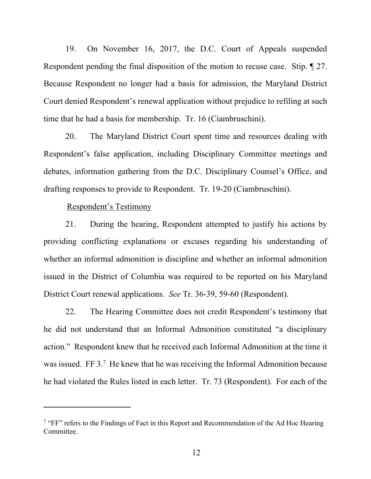19. On November 16, 2017, the D.C. Court of Appeals suspended Respondent pending the final disposition of the motion to recuse case. Stip. ¶ 27. Because Respondent no longer had a basis for admission, the Maryland District Court denied Respondent's renewal application without prejudice to refiling at such time that he had a basis for membership. Tr. 16 (Ciambruschini).

20. The Maryland District Court spent time and resources dealing with Respondent's false application, including Disciplinary Committee meetings and debates, information gathering from the D.C. Disciplinary Counsel's Office, and drafting responses to provide to Respondent. Tr. 19-20 (Ciambruschini).

Respondent's Testimony

21. During the hearing, Respondent attempted to justify his actions by providing conflicting explanations or excuses regarding his understanding of whether an informal admonition is discipline and whether an informal admonition issued in the District of Columbia was required to be reported on his Maryland District Court renewal applications. *See* Tr. 36-39, 59-60 (Respondent).

22. The Hearing Committee does not credit Respondent's testimony that he did not understand that an Informal Admonition constituted "a disciplinary action." Respondent knew that he received each Informal Admonition at the time it was issued. FF 3.<sup>7</sup> He knew that he was receiving the Informal Admonition because he had violated the Rules listed in each letter. Tr. 73 (Respondent). For each of the

<sup>&</sup>lt;sup>7</sup> "FF" refers to the Findings of Fact in this Report and Recommendation of the Ad Hoc Hearing Committee.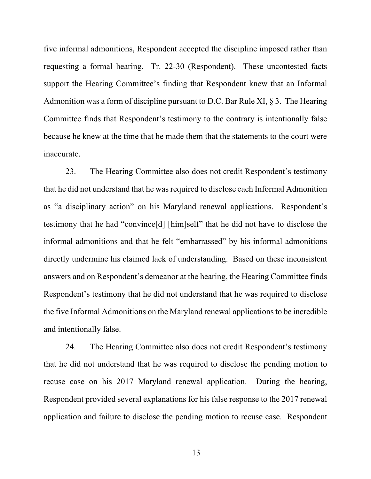five informal admonitions, Respondent accepted the discipline imposed rather than requesting a formal hearing. Tr. 22-30 (Respondent). These uncontested facts support the Hearing Committee's finding that Respondent knew that an Informal Admonition was a form of discipline pursuant to D.C. Bar Rule XI,  $\S 3$ . The Hearing Committee finds that Respondent's testimony to the contrary is intentionally false because he knew at the time that he made them that the statements to the court were inaccurate.

23. The Hearing Committee also does not credit Respondent's testimony that he did not understand that he was required to disclose each Informal Admonition as "a disciplinary action" on his Maryland renewal applications. Respondent's testimony that he had "convince[d] [him]self" that he did not have to disclose the informal admonitions and that he felt "embarrassed" by his informal admonitions directly undermine his claimed lack of understanding. Based on these inconsistent answers and on Respondent's demeanor at the hearing, the Hearing Committee finds Respondent's testimony that he did not understand that he was required to disclose the five Informal Admonitions on the Maryland renewal applications to be incredible and intentionally false.

24. The Hearing Committee also does not credit Respondent's testimony that he did not understand that he was required to disclose the pending motion to recuse case on his 2017 Maryland renewal application. During the hearing, Respondent provided several explanations for his false response to the 2017 renewal application and failure to disclose the pending motion to recuse case. Respondent

13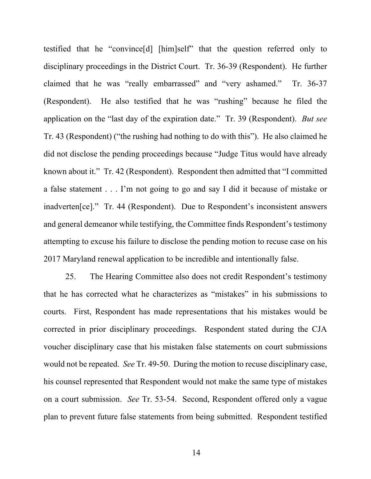testified that he "convince[d] [him]self" that the question referred only to disciplinary proceedings in the District Court. Tr. 36-39 (Respondent). He further claimed that he was "really embarrassed" and "very ashamed." Tr. 36-37 (Respondent). He also testified that he was "rushing" because he filed the application on the "last day of the expiration date." Tr. 39 (Respondent). *But see*  Tr. 43 (Respondent) ("the rushing had nothing to do with this"). He also claimed he did not disclose the pending proceedings because "Judge Titus would have already known about it." Tr. 42 (Respondent). Respondent then admitted that "I committed a false statement . . . I'm not going to go and say I did it because of mistake or inadverten[ce]." Tr. 44 (Respondent). Due to Respondent's inconsistent answers and general demeanor while testifying, the Committee finds Respondent's testimony attempting to excuse his failure to disclose the pending motion to recuse case on his 2017 Maryland renewal application to be incredible and intentionally false.

25. The Hearing Committee also does not credit Respondent's testimony that he has corrected what he characterizes as "mistakes" in his submissions to courts. First, Respondent has made representations that his mistakes would be corrected in prior disciplinary proceedings. Respondent stated during the CJA voucher disciplinary case that his mistaken false statements on court submissions would not be repeated. *See* Tr. 49-50. During the motion to recuse disciplinary case, his counsel represented that Respondent would not make the same type of mistakes on a court submission. *See* Tr. 53-54. Second, Respondent offered only a vague plan to prevent future false statements from being submitted. Respondent testified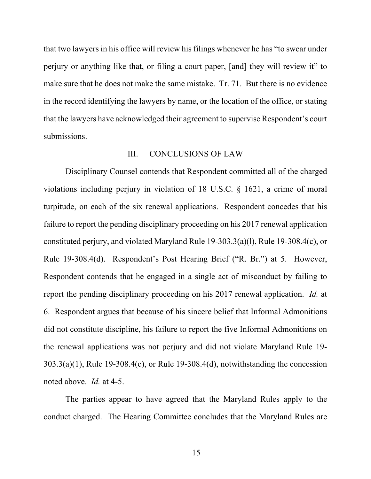that two lawyers in his office will review his filings whenever he has "to swear under perjury or anything like that, or filing a court paper, [and] they will review it" to make sure that he does not make the same mistake. Tr. 71. But there is no evidence in the record identifying the lawyers by name, or the location of the office, or stating that the lawyers have acknowledged their agreement to supervise Respondent's court submissions.

# III. CONCLUSIONS OF LAW

Disciplinary Counsel contends that Respondent committed all of the charged violations including perjury in violation of 18 U.S.C. § 1621, a crime of moral turpitude, on each of the six renewal applications. Respondent concedes that his failure to report the pending disciplinary proceeding on his 2017 renewal application constituted perjury, and violated Maryland Rule 19-303.3(a)(l), Rule 19-308.4(c), or Rule 19-308.4(d). Respondent's Post Hearing Brief ("R. Br.") at 5. However, Respondent contends that he engaged in a single act of misconduct by failing to report the pending disciplinary proceeding on his 2017 renewal application. *Id.* at 6. Respondent argues that because of his sincere belief that Informal Admonitions did not constitute discipline, his failure to report the five Informal Admonitions on the renewal applications was not perjury and did not violate Maryland Rule 19-  $303.3(a)(1)$ , Rule 19-308.4(c), or Rule 19-308.4(d), notwithstanding the concession noted above. *Id.* at 4-5.

The parties appear to have agreed that the Maryland Rules apply to the conduct charged. The Hearing Committee concludes that the Maryland Rules are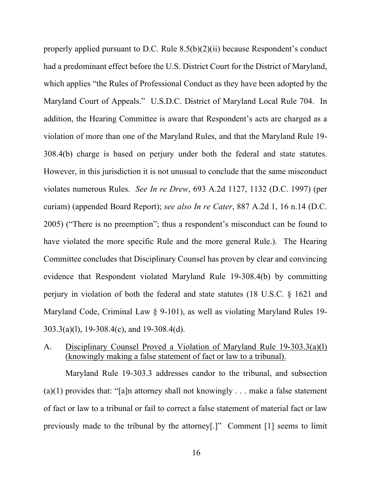properly applied pursuant to D.C. Rule 8.5(b)(2)(ii) because Respondent's conduct had a predominant effect before the U.S. District Court for the District of Maryland, which applies "the Rules of Professional Conduct as they have been adopted by the Maryland Court of Appeals." U.S.D.C. District of Maryland Local Rule 704. In addition, the Hearing Committee is aware that Respondent's acts are charged as a violation of more than one of the Maryland Rules, and that the Maryland Rule 19- 308.4(b) charge is based on perjury under both the federal and state statutes. However, in this jurisdiction it is not unusual to conclude that the same misconduct violates numerous Rules. *See In re Drew*, 693 A.2d 1127, 1132 (D.C. 1997) (per curiam) (appended Board Report); *see also In re Cater*, 887 A.2d 1, 16 n.14 (D.C. 2005) ("There is no preemption"; thus a respondent's misconduct can be found to have violated the more specific Rule and the more general Rule.). The Hearing Committee concludes that Disciplinary Counsel has proven by clear and convincing evidence that Respondent violated Maryland Rule 19-308.4(b) by committing perjury in violation of both the federal and state statutes (18 U.S.C. § 1621 and Maryland Code, Criminal Law § 9-101), as well as violating Maryland Rules 19- 303.3(a)(l), 19-308.4(c), and 19-308.4(d).

# A. Disciplinary Counsel Proved a Violation of Maryland Rule 19-303.3(a)(l) (knowingly making a false statement of fact or law to a tribunal).

Maryland Rule 19-303.3 addresses candor to the tribunal, and subsection (a)(1) provides that: "[a]n attorney shall not knowingly ... make a false statement of fact or law to a tribunal or fail to correct a false statement of material fact or law previously made to the tribunal by the attorney[.]" Comment [1] seems to limit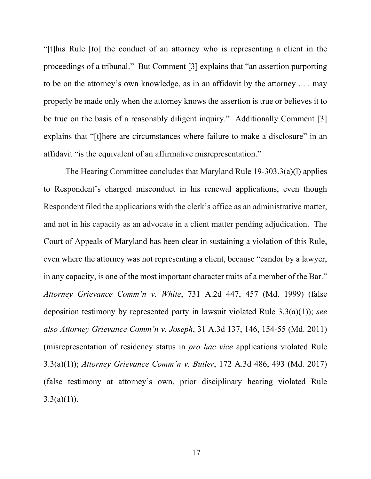"[t]his Rule [to] the conduct of an attorney who is representing a client in the proceedings of a tribunal." But Comment [3] explains that "an assertion purporting to be on the attorney's own knowledge, as in an affidavit by the attorney . . . may properly be made only when the attorney knows the assertion is true or believes it to be true on the basis of a reasonably diligent inquiry." Additionally Comment [3] explains that "[t]here are circumstances where failure to make a disclosure" in an affidavit "is the equivalent of an affirmative misrepresentation."

The Hearing Committee concludes that Maryland Rule 19-303.3(a)(l) applies to Respondent's charged misconduct in his renewal applications, even though Respondent filed the applications with the clerk's office as an administrative matter, and not in his capacity as an advocate in a client matter pending adjudication. The Court of Appeals of Maryland has been clear in sustaining a violation of this Rule, even where the attorney was not representing a client, because "candor by a lawyer, in any capacity, is one of the most important character traits of a member of the Bar." *Attorney Grievance Comm'n v. White*, 731 A.2d 447, 457 (Md. 1999) (false deposition testimony by represented party in lawsuit violated Rule 3.3(a)(1)); *see also Attorney Grievance Comm'n v. Joseph*, 31 A.3d 137, 146, 154-55 (Md. 2011) (misrepresentation of residency status in *pro hac vice* applications violated Rule 3.3(a)(1)); *Attorney Grievance Comm'n v. Butler*, 172 A.3d 486, 493 (Md. 2017) (false testimony at attorney's own, prior disciplinary hearing violated Rule  $3.3(a)(1)$ ).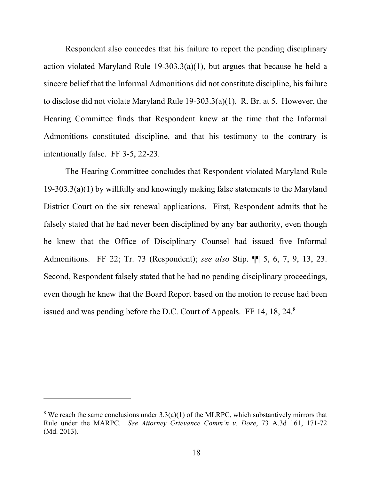Respondent also concedes that his failure to report the pending disciplinary action violated Maryland Rule 19-303.3(a)(1), but argues that because he held a sincere belief that the Informal Admonitions did not constitute discipline, his failure to disclose did not violate Maryland Rule 19-303.3(a)(1). R. Br. at 5. However, the Hearing Committee finds that Respondent knew at the time that the Informal Admonitions constituted discipline, and that his testimony to the contrary is intentionally false. FF 3-5, 22-23.

The Hearing Committee concludes that Respondent violated Maryland Rule 19-303.3(a)(1) by willfully and knowingly making false statements to the Maryland District Court on the six renewal applications. First, Respondent admits that he falsely stated that he had never been disciplined by any bar authority, even though he knew that the Office of Disciplinary Counsel had issued five Informal Admonitions. FF 22; Tr. 73 (Respondent); *see also* Stip. ¶¶ 5, 6, 7, 9, 13, 23. Second, Respondent falsely stated that he had no pending disciplinary proceedings, even though he knew that the Board Report based on the motion to recuse had been issued and was pending before the D.C. Court of Appeals. FF 14, 18, 24.<sup>8</sup>

<sup>&</sup>lt;sup>8</sup> We reach the same conclusions under  $3.3(a)(1)$  of the MLRPC, which substantively mirrors that Rule under the MARPC. *See Attorney Grievance Comm'n v. Dore*, 73 A.3d 161, 171-72 (Md. 2013).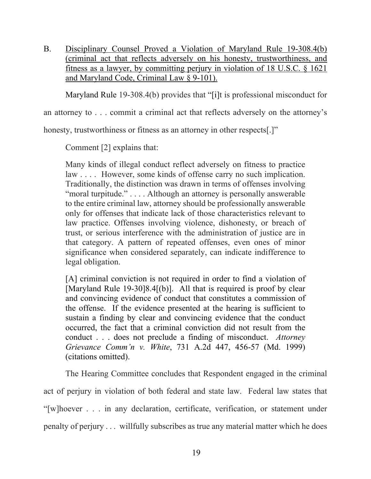B. Disciplinary Counsel Proved a Violation of Maryland Rule 19-308.4(b) (criminal act that reflects adversely on his honesty, trustworthiness, and fitness as a lawyer, by committing perjury in violation of 18 U.S.C. § 1621 and Maryland Code, Criminal Law § 9-101).

Maryland Rule 19-308.4(b) provides that "[i]t is professional misconduct for

an attorney to . . . commit a criminal act that reflects adversely on the attorney's

honesty, trustworthiness or fitness as an attorney in other respects[.]"

Comment [2] explains that:

Many kinds of illegal conduct reflect adversely on fitness to practice law . . . . However, some kinds of offense carry no such implication. Traditionally, the distinction was drawn in terms of offenses involving "moral turpitude." . . . . Although an attorney is personally answerable to the entire criminal law, attorney should be professionally answerable only for offenses that indicate lack of those characteristics relevant to law practice. Offenses involving violence, dishonesty, or breach of trust, or serious interference with the administration of justice are in that category. A pattern of repeated offenses, even ones of minor significance when considered separately, can indicate indifference to legal obligation.

[A] criminal conviction is not required in order to find a violation of [Maryland Rule 19-30]8.4[(b)]. All that is required is proof by clear and convincing evidence of conduct that constitutes a commission of the offense. If the evidence presented at the hearing is sufficient to sustain a finding by clear and convincing evidence that the conduct occurred, the fact that a criminal conviction did not result from the conduct . . . does not preclude a finding of misconduct. *Attorney Grievance Comm'n v. White*, 731 A.2d 447, 456-57 (Md. 1999) (citations omitted).

The Hearing Committee concludes that Respondent engaged in the criminal act of perjury in violation of both federal and state law. Federal law states that "[w]hoever . . . in any declaration, certificate, verification, or statement under penalty of perjury . . . willfully subscribes as true any material matter which he does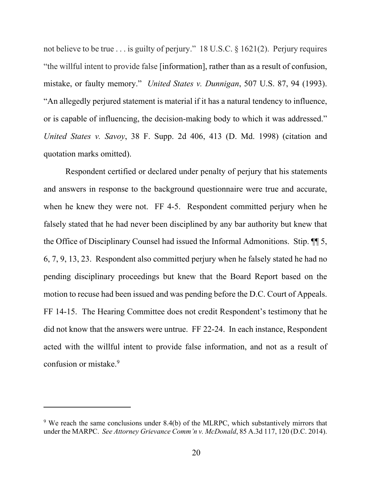not believe to be true . . . is guilty of perjury." 18 U.S.C. § 1621(2). Perjury requires "the willful intent to provide false [information], rather than as a result of confusion, mistake, or faulty memory." *United States v. Dunnigan*, 507 U.S. 87, 94 (1993). "An allegedly perjured statement is material if it has a natural tendency to influence, or is capable of influencing, the decision-making body to which it was addressed." *United States v. Savoy*, 38 F. Supp. 2d 406, 413 (D. Md. 1998) (citation and quotation marks omitted).

Respondent certified or declared under penalty of perjury that his statements and answers in response to the background questionnaire were true and accurate, when he knew they were not. FF 4-5. Respondent committed perjury when he falsely stated that he had never been disciplined by any bar authority but knew that the Office of Disciplinary Counsel had issued the Informal Admonitions. Stip. ¶¶ 5, 6, 7, 9, 13, 23. Respondent also committed perjury when he falsely stated he had no pending disciplinary proceedings but knew that the Board Report based on the motion to recuse had been issued and was pending before the D.C. Court of Appeals. FF 14-15. The Hearing Committee does not credit Respondent's testimony that he did not know that the answers were untrue. FF 22-24. In each instance, Respondent acted with the willful intent to provide false information, and not as a result of confusion or mistake.<sup>9</sup>

 $9$  We reach the same conclusions under 8.4(b) of the MLRPC, which substantively mirrors that under the MARPC. *See Attorney Grievance Comm'n v. McDonald*, 85 A.3d 117, 120 (D.C. 2014).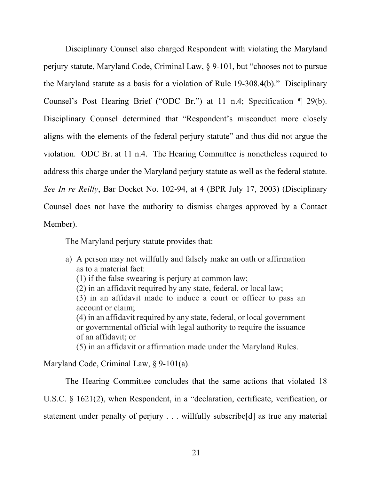Disciplinary Counsel also charged Respondent with violating the Maryland perjury statute, Maryland Code, Criminal Law, § 9-101, but "chooses not to pursue the Maryland statute as a basis for a violation of Rule 19-308.4(b)." Disciplinary Counsel's Post Hearing Brief ("ODC Br.") at 11 n.4; Specification ¶ 29(b). Disciplinary Counsel determined that "Respondent's misconduct more closely aligns with the elements of the federal perjury statute" and thus did not argue the violation. ODC Br. at 11 n.4. The Hearing Committee is nonetheless required to address this charge under the Maryland perjury statute as well as the federal statute. *See In re Reilly*, Bar Docket No. 102-94, at 4 (BPR July 17, 2003) (Disciplinary Counsel does not have the authority to dismiss charges approved by a Contact Member).

The Maryland perjury statute provides that:

- a) A person may not willfully and falsely make an oath or affirmation as to a material fact:
	- (1) if the false swearing is perjury at common law;
	- (2) in an affidavit required by any state, federal, or local law;
	- (3) in an affidavit made to induce a court or officer to pass an account or claim;

(4) in an affidavit required by any state, federal, or local government or governmental official with legal authority to require the issuance of an affidavit; or

(5) in an affidavit or affirmation made under the Maryland Rules.

Maryland Code, Criminal Law, § 9-101(a).

 The Hearing Committee concludes that the same actions that violated 18 U.S.C. § 1621(2), when Respondent, in a "declaration, certificate, verification, or statement under penalty of perjury . . . willfully subscribe[d] as true any material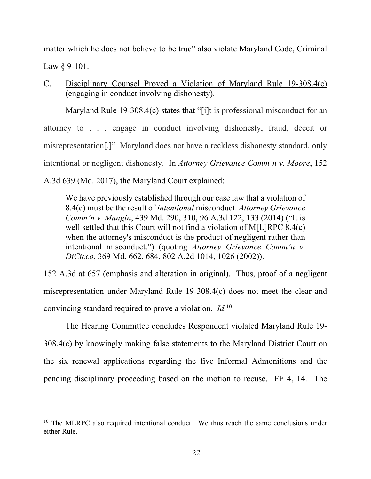matter which he does not believe to be true" also violate Maryland Code, Criminal Law § 9-101.

C. Disciplinary Counsel Proved a Violation of Maryland Rule 19-308.4(c) (engaging in conduct involving dishonesty).

Maryland Rule 19-308.4(c) states that "[i]t is professional misconduct for an attorney to . . . engage in conduct involving dishonesty, fraud, deceit or misrepresentation[.]" Maryland does not have a reckless dishonesty standard, only intentional or negligent dishonesty. In *Attorney Grievance Comm'n v. Moore*, 152 A.3d 639 (Md. 2017), the Maryland Court explained:

We have previously established through our case law that a violation of 8.4(c) must be the result of *intentional* misconduct. *Attorney Grievance Comm'n v. Mungin*, 439 Md. 290, 310, 96 A.3d 122, 133 (2014) ("It is well settled that this Court will not find a violation of M[L]RPC 8.4(c) when the attorney's misconduct is the product of negligent rather than intentional misconduct.") (quoting *Attorney Grievance Comm'n v. DiCicco*, 369 Md. 662, 684, 802 A.2d 1014, 1026 (2002)).

152 A.3d at 657 (emphasis and alteration in original). Thus, proof of a negligent misrepresentation under Maryland Rule 19-308.4(c) does not meet the clear and convincing standard required to prove a violation. *Id.*10

 The Hearing Committee concludes Respondent violated Maryland Rule 19- 308.4(c) by knowingly making false statements to the Maryland District Court on the six renewal applications regarding the five Informal Admonitions and the pending disciplinary proceeding based on the motion to recuse. FF 4, 14. The

<sup>&</sup>lt;sup>10</sup> The MLRPC also required intentional conduct. We thus reach the same conclusions under either Rule.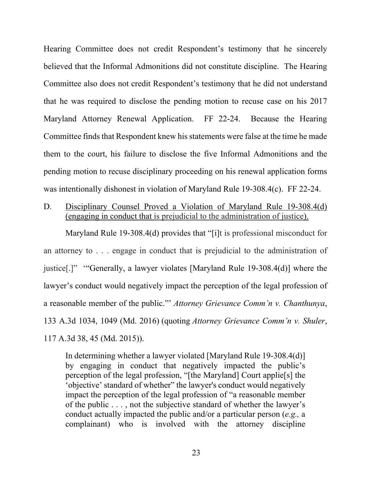Hearing Committee does not credit Respondent's testimony that he sincerely believed that the Informal Admonitions did not constitute discipline. The Hearing Committee also does not credit Respondent's testimony that he did not understand that he was required to disclose the pending motion to recuse case on his 2017 Maryland Attorney Renewal Application. FF 22-24. Because the Hearing Committee finds that Respondent knew his statements were false at the time he made them to the court, his failure to disclose the five Informal Admonitions and the pending motion to recuse disciplinary proceeding on his renewal application forms was intentionally dishonest in violation of Maryland Rule 19-308.4(c). FF 22-24.

D. Disciplinary Counsel Proved a Violation of Maryland Rule 19-308.4(d) (engaging in conduct that is prejudicial to the administration of justice).

Maryland Rule 19-308.4(d) provides that "[i]t is professional misconduct for an attorney to . . . engage in conduct that is prejudicial to the administration of justice[.]" '"Generally, a lawyer violates [Maryland Rule 19-308.4(d)] where the lawyer's conduct would negatively impact the perception of the legal profession of a reasonable member of the public."' *Attorney Grievance Comm'n v. Chanthunya*, 133 A.3d 1034, 1049 (Md. 2016) (quoting *Attorney Grievance Comm'n v. Shuler*, 117 A.3d 38, 45 (Md. 2015)).

In determining whether a lawyer violated [Maryland Rule 19-308.4(d)] by engaging in conduct that negatively impacted the public's perception of the legal profession, "[the Maryland] Court applie[s] the 'objective' standard of whether" the lawyer's conduct would negatively impact the perception of the legal profession of "a reasonable member of the public . . . , not the subjective standard of whether the lawyer's conduct actually impacted the public and/or a particular person (*e.g.,* a complainant) who is involved with the attorney discipline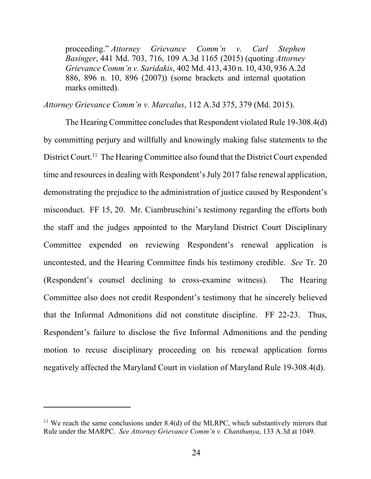proceeding." *Attorney Grievance Comm'n v. Carl Stephen Basinger*, 441 Md. 703, 716, 109 A.3d 1165 (2015) (quoting *Attorney Grievance Comm'n v. Saridakis*, 402 Md. 413, 430 n. 10, 430, 936 A.2d 886, 896 n. 10, 896 (2007)) (some brackets and internal quotation marks omitted).

*Attorney Grievance Comm'n v. Marcalus*, 112 A.3d 375, 379 (Md. 2015).

The Hearing Committee concludes that Respondent violated Rule 19-308.4(d) by committing perjury and willfully and knowingly making false statements to the District Court.<sup>11</sup> The Hearing Committee also found that the District Court expended time and resources in dealing with Respondent's July 2017 false renewal application, demonstrating the prejudice to the administration of justice caused by Respondent's misconduct. FF 15, 20. Mr. Ciambruschini's testimony regarding the efforts both the staff and the judges appointed to the Maryland District Court Disciplinary Committee expended on reviewing Respondent's renewal application is uncontested, and the Hearing Committee finds his testimony credible. *See* Tr. 20 (Respondent's counsel declining to cross-examine witness). The Hearing Committee also does not credit Respondent's testimony that he sincerely believed that the Informal Admonitions did not constitute discipline. FF 22-23. Thus, Respondent's failure to disclose the five Informal Admonitions and the pending motion to recuse disciplinary proceeding on his renewal application forms negatively affected the Maryland Court in violation of Maryland Rule 19-308.4(d).

<sup>&</sup>lt;sup>11</sup> We reach the same conclusions under  $8.4(d)$  of the MLRPC, which substantively mirrors that Rule under the MARPC. *See Attorney Grievance Comm'n v. Chanthunya*, 133 A.3d at 1049.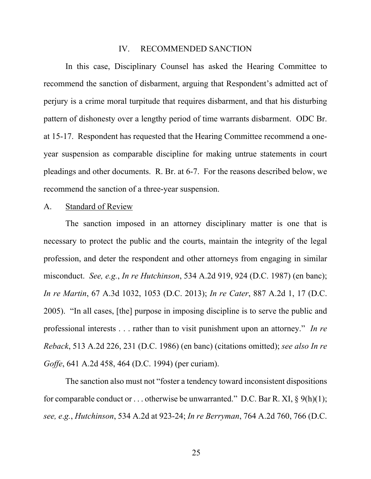#### IV. RECOMMENDED SANCTION

In this case, Disciplinary Counsel has asked the Hearing Committee to recommend the sanction of disbarment, arguing that Respondent's admitted act of perjury is a crime moral turpitude that requires disbarment, and that his disturbing pattern of dishonesty over a lengthy period of time warrants disbarment. ODC Br. at 15-17. Respondent has requested that the Hearing Committee recommend a oneyear suspension as comparable discipline for making untrue statements in court pleadings and other documents. R. Br. at 6-7. For the reasons described below, we recommend the sanction of a three-year suspension.

### A. Standard of Review

The sanction imposed in an attorney disciplinary matter is one that is necessary to protect the public and the courts, maintain the integrity of the legal profession, and deter the respondent and other attorneys from engaging in similar misconduct. *See, e.g.*, *In re Hutchinson*, 534 A.2d 919, 924 (D.C. 1987) (en banc); *In re Martin*, 67 A.3d 1032, 1053 (D.C. 2013); *In re Cater*, 887 A.2d 1, 17 (D.C. 2005). "In all cases, [the] purpose in imposing discipline is to serve the public and professional interests . . . rather than to visit punishment upon an attorney." *In re Reback*, 513 A.2d 226, 231 (D.C. 1986) (en banc) (citations omitted); *see also In re Goffe*, 641 A.2d 458, 464 (D.C. 1994) (per curiam).

The sanction also must not "foster a tendency toward inconsistent dispositions for comparable conduct or ... otherwise be unwarranted." D.C. Bar R. XI,  $\S$  9(h)(1); *see, e*.*g.*, *Hutchinson*, 534 A.2d at 923-24; *In re Berryman*, 764 A.2d 760, 766 (D.C.

25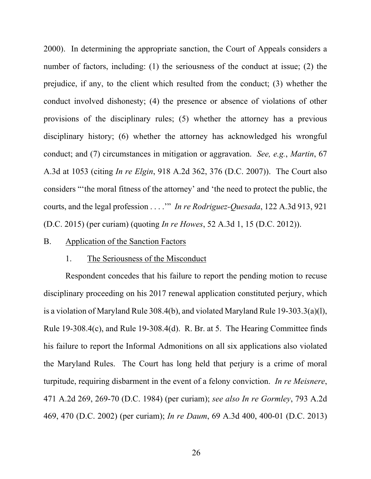2000). In determining the appropriate sanction, the Court of Appeals considers a number of factors, including: (1) the seriousness of the conduct at issue; (2) the prejudice, if any, to the client which resulted from the conduct; (3) whether the conduct involved dishonesty; (4) the presence or absence of violations of other provisions of the disciplinary rules; (5) whether the attorney has a previous disciplinary history; (6) whether the attorney has acknowledged his wrongful conduct; and (7) circumstances in mitigation or aggravation. *See, e.g.*, *Martin*, 67 A.3d at 1053 (citing *In re Elgin*, 918 A.2d 362, 376 (D.C. 2007)). The Court also considers "'the moral fitness of the attorney' and 'the need to protect the public, the courts, and the legal profession . . . .'" *In re Rodriguez-Quesada*, 122 A.3d 913, 921 (D.C. 2015) (per curiam) (quoting *In re Howes*, 52 A.3d 1, 15 (D.C. 2012)).

#### B. Application of the Sanction Factors

#### 1. The Seriousness of the Misconduct

Respondent concedes that his failure to report the pending motion to recuse disciplinary proceeding on his 2017 renewal application constituted perjury, which is a violation of Maryland Rule 308.4(b), and violated Maryland Rule 19-303.3(a)(l), Rule 19-308.4(c), and Rule 19-308.4(d). R. Br. at 5. The Hearing Committee finds his failure to report the Informal Admonitions on all six applications also violated the Maryland Rules. The Court has long held that perjury is a crime of moral turpitude, requiring disbarment in the event of a felony conviction. *In re Meisnere*, 471 A.2d 269, 269-70 (D.C. 1984) (per curiam); *see also In re Gormley*, 793 A.2d 469, 470 (D.C. 2002) (per curiam); *In re Daum*, 69 A.3d 400, 400-01 (D.C. 2013)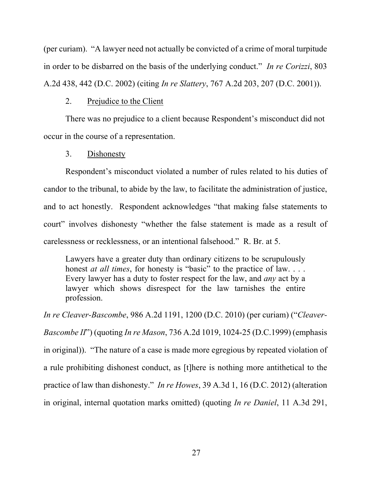(per curiam). "A lawyer need not actually be convicted of a crime of moral turpitude in order to be disbarred on the basis of the underlying conduct." *In re Corizzi*, 803 A.2d 438, 442 (D.C. 2002) (citing *In re Slattery*, 767 A.2d 203, 207 (D.C. 2001)).

## 2. Prejudice to the Client

There was no prejudice to a client because Respondent's misconduct did not occur in the course of a representation.

### 3. Dishonesty

Respondent's misconduct violated a number of rules related to his duties of candor to the tribunal, to abide by the law, to facilitate the administration of justice, and to act honestly. Respondent acknowledges "that making false statements to court" involves dishonesty "whether the false statement is made as a result of carelessness or recklessness, or an intentional falsehood." R. Br. at 5.

Lawyers have a greater duty than ordinary citizens to be scrupulously honest *at all times*, for honesty is "basic" to the practice of law. . . . Every lawyer has a duty to foster respect for the law, and *any* act by a lawyer which shows disrespect for the law tarnishes the entire profession.

*In re Cleaver-Bascombe*, 986 A.2d 1191, 1200 (D.C. 2010) (per curiam) ("*Cleaver-Bascombe II*") (quoting *In re Mason*, 736 A.2d 1019, 1024-25 (D.C.1999) (emphasis in original)). "The nature of a case is made more egregious by repeated violation of a rule prohibiting dishonest conduct, as [t]here is nothing more antithetical to the practice of law than dishonesty." *In re Howes*, 39 A.3d 1, 16 (D.C. 2012) (alteration in original, internal quotation marks omitted) (quoting *In re Daniel*, 11 A.3d 291,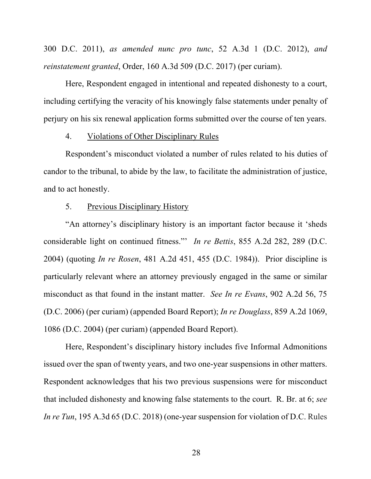300 D.C. 2011), *as amended nunc pro tunc*, 52 A.3d 1 (D.C. 2012), *and reinstatement granted*, Order, 160 A.3d 509 (D.C. 2017) (per curiam).

Here, Respondent engaged in intentional and repeated dishonesty to a court, including certifying the veracity of his knowingly false statements under penalty of perjury on his six renewal application forms submitted over the course of ten years.

### 4. Violations of Other Disciplinary Rules

Respondent's misconduct violated a number of rules related to his duties of candor to the tribunal, to abide by the law, to facilitate the administration of justice, and to act honestly.

### 5. Previous Disciplinary History

"An attorney's disciplinary history is an important factor because it 'sheds considerable light on continued fitness."' *In re Bettis*, 855 A.2d 282, 289 (D.C. 2004) (quoting *In re Rosen*, 481 A.2d 451, 455 (D.C. 1984)). Prior discipline is particularly relevant where an attorney previously engaged in the same or similar misconduct as that found in the instant matter. *See In re Evans*, 902 A.2d 56, 75 (D.C. 2006) (per curiam) (appended Board Report); *In re Douglass*, 859 A.2d 1069, 1086 (D.C. 2004) (per curiam) (appended Board Report).

Here, Respondent's disciplinary history includes five Informal Admonitions issued over the span of twenty years, and two one-year suspensions in other matters. Respondent acknowledges that his two previous suspensions were for misconduct that included dishonesty and knowing false statements to the court. R. Br. at 6; *see In re Tun*, 195 A.3d 65 (D.C. 2018) (one-year suspension for violation of D.C. Rules

28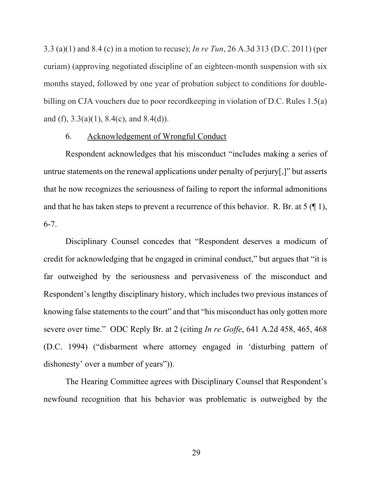3.3 (a)(1) and 8.4 (c) in a motion to recuse); *In re Tun*, 26 A.3d 313 (D.C. 2011) (per curiam) (approving negotiated discipline of an eighteen-month suspension with six months stayed, followed by one year of probation subject to conditions for doublebilling on CJA vouchers due to poor recordkeeping in violation of D.C. Rules 1.5(a) and (f),  $3.3(a)(1)$ ,  $8.4(c)$ , and  $8.4(d)$ ).

### 6. Acknowledgement of Wrongful Conduct

Respondent acknowledges that his misconduct "includes making a series of untrue statements on the renewal applications under penalty of perjury[,]" but asserts that he now recognizes the seriousness of failing to report the informal admonitions and that he has taken steps to prevent a recurrence of this behavior. R. Br. at  $5 \times 1$ , 6-7.

Disciplinary Counsel concedes that "Respondent deserves a modicum of credit for acknowledging that he engaged in criminal conduct," but argues that "it is far outweighed by the seriousness and pervasiveness of the misconduct and Respondent's lengthy disciplinary history, which includes two previous instances of knowing false statements to the court" and that "his misconduct has only gotten more severe over time." ODC Reply Br. at 2 (citing *In re Goffe*, 641 A.2d 458, 465, 468 (D.C. 1994) ("disbarment where attorney engaged in 'disturbing pattern of dishonesty' over a number of years")).

 The Hearing Committee agrees with Disciplinary Counsel that Respondent's newfound recognition that his behavior was problematic is outweighed by the

29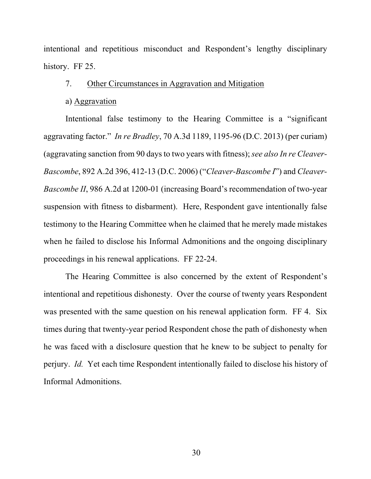intentional and repetitious misconduct and Respondent's lengthy disciplinary history. FF 25.

## 7. Other Circumstances in Aggravation and Mitigation

# a) Aggravation

Intentional false testimony to the Hearing Committee is a "significant aggravating factor." *In re Bradley*, 70 A.3d 1189, 1195-96 (D.C. 2013) (per curiam) (aggravating sanction from 90 days to two years with fitness); *see also In re Cleaver-Bascombe*, 892 A.2d 396, 412-13 (D.C. 2006) ("*Cleaver-Bascombe I*") and *Cleaver-Bascombe II*, 986 A.2d at 1200-01 (increasing Board's recommendation of two-year suspension with fitness to disbarment). Here, Respondent gave intentionally false testimony to the Hearing Committee when he claimed that he merely made mistakes when he failed to disclose his Informal Admonitions and the ongoing disciplinary proceedings in his renewal applications. FF 22-24.

The Hearing Committee is also concerned by the extent of Respondent's intentional and repetitious dishonesty. Over the course of twenty years Respondent was presented with the same question on his renewal application form. FF 4. Six times during that twenty-year period Respondent chose the path of dishonesty when he was faced with a disclosure question that he knew to be subject to penalty for perjury. *Id.* Yet each time Respondent intentionally failed to disclose his history of Informal Admonitions.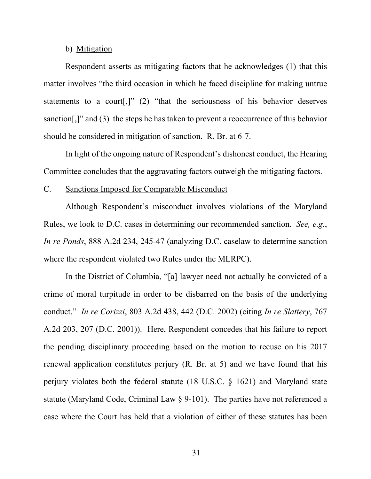#### b) Mitigation

Respondent asserts as mitigating factors that he acknowledges (1) that this matter involves "the third occasion in which he faced discipline for making untrue statements to a court[,]" (2) "that the seriousness of his behavior deserves sanction[,]" and (3) the steps he has taken to prevent a reoccurrence of this behavior should be considered in mitigation of sanction. R. Br. at 6-7.

In light of the ongoing nature of Respondent's dishonest conduct, the Hearing Committee concludes that the aggravating factors outweigh the mitigating factors.

#### C. Sanctions Imposed for Comparable Misconduct

Although Respondent's misconduct involves violations of the Maryland Rules, we look to D.C. cases in determining our recommended sanction. *See, e.g.*, *In re Ponds*, 888 A.2d 234, 245-47 (analyzing D.C. caselaw to determine sanction where the respondent violated two Rules under the MLRPC).

In the District of Columbia, "[a] lawyer need not actually be convicted of a crime of moral turpitude in order to be disbarred on the basis of the underlying conduct." *In re Corizzi*, 803 A.2d 438, 442 (D.C. 2002) (citing *In re Slattery*, 767 A.2d 203, 207 (D.C. 2001)). Here, Respondent concedes that his failure to report the pending disciplinary proceeding based on the motion to recuse on his 2017 renewal application constitutes perjury (R. Br. at 5) and we have found that his perjury violates both the federal statute (18 U.S.C. § 1621) and Maryland state statute (Maryland Code, Criminal Law § 9-101). The parties have not referenced a case where the Court has held that a violation of either of these statutes has been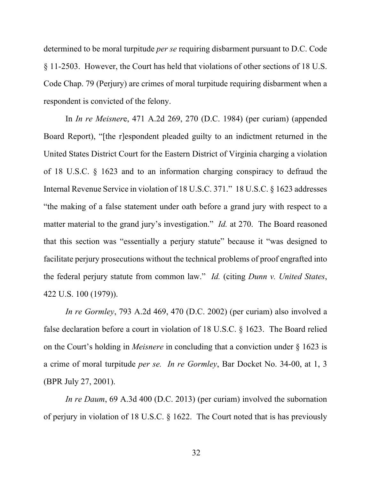determined to be moral turpitude *per se* requiring disbarment pursuant to D.C. Code § 11-2503. However, the Court has held that violations of other sections of 18 U.S. Code Chap. 79 (Perjury) are crimes of moral turpitude requiring disbarment when a respondent is convicted of the felony.

In *In re Meisner*e, 471 A.2d 269, 270 (D.C. 1984) (per curiam) (appended Board Report), "[the r]espondent pleaded guilty to an indictment returned in the United States District Court for the Eastern District of Virginia charging a violation of 18 U.S.C. § 1623 and to an information charging conspiracy to defraud the Internal Revenue Service in violation of 18 U.S.C. 371." 18 U.S.C. § 1623 addresses "the making of a false statement under oath before a grand jury with respect to a matter material to the grand jury's investigation." *Id.* at 270. The Board reasoned that this section was "essentially a perjury statute" because it "was designed to facilitate perjury prosecutions without the technical problems of proof engrafted into the federal perjury statute from common law." *Id.* (citing *Dunn v. United States*, 422 U.S. 100 (1979)).

*In re Gormley*, 793 A.2d 469, 470 (D.C. 2002) (per curiam) also involved a false declaration before a court in violation of 18 U.S.C. § 1623. The Board relied on the Court's holding in *Meisnere* in concluding that a conviction under § 1623 is a crime of moral turpitude *per se. In re Gormley*, Bar Docket No. 34-00, at 1, 3 (BPR July 27, 2001).

*In re Daum*, 69 A.3d 400 (D.C. 2013) (per curiam) involved the subornation of perjury in violation of 18 U.S.C. § 1622. The Court noted that is has previously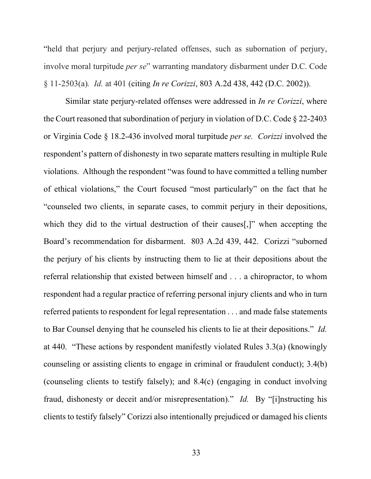"held that perjury and perjury-related offenses, such as subornation of perjury, involve moral turpitude *per se*" warranting mandatory disbarment under D.C. Code § 11-2503(a)*. Id.* at 401 (citing *In re Corizzi*, 803 A.2d 438, 442 (D.C. 2002)).

Similar state perjury-related offenses were addressed in *In re Corizzi*, where the Court reasoned that subordination of perjury in violation of D.C. Code § 22-2403 or Virginia Code § 18.2-436 involved moral turpitude *per se. Corizzi* involved the respondent's pattern of dishonesty in two separate matters resulting in multiple Rule violations. Although the respondent "was found to have committed a telling number of ethical violations," the Court focused "most particularly" on the fact that he "counseled two clients, in separate cases, to commit perjury in their depositions, which they did to the virtual destruction of their causes. The view accepting the Board's recommendation for disbarment. 803 A.2d 439, 442. Corizzi "suborned the perjury of his clients by instructing them to lie at their depositions about the referral relationship that existed between himself and . . . a chiropractor, to whom respondent had a regular practice of referring personal injury clients and who in turn referred patients to respondent for legal representation . . . and made false statements to Bar Counsel denying that he counseled his clients to lie at their depositions." *Id.*  at 440. "These actions by respondent manifestly violated Rules 3.3(a) (knowingly counseling or assisting clients to engage in criminal or fraudulent conduct); 3.4(b) (counseling clients to testify falsely); and 8.4(c) (engaging in conduct involving fraud, dishonesty or deceit and/or misrepresentation)." *Id.* By "[i]nstructing his clients to testify falsely" Corizzi also intentionally prejudiced or damaged his clients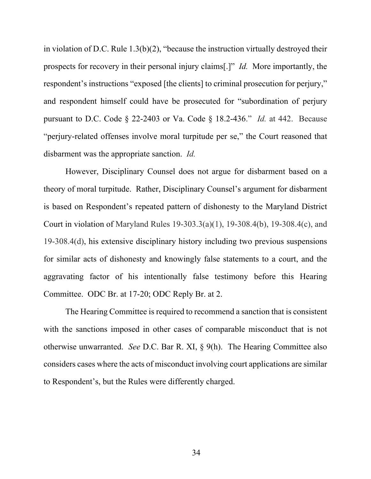in violation of D.C. Rule 1.3(b)(2), "because the instruction virtually destroyed their prospects for recovery in their personal injury claims[.]" *Id.* More importantly, the respondent's instructions "exposed [the clients] to criminal prosecution for perjury," and respondent himself could have be prosecuted for "subordination of perjury pursuant to D.C. Code § 22-2403 or Va. Code § 18.2-436." *Id.* at 442. Because "perjury-related offenses involve moral turpitude per se," the Court reasoned that disbarment was the appropriate sanction. *Id.* 

However, Disciplinary Counsel does not argue for disbarment based on a theory of moral turpitude. Rather, Disciplinary Counsel's argument for disbarment is based on Respondent's repeated pattern of dishonesty to the Maryland District Court in violation of Maryland Rules 19-303.3(a)(1), 19-308.4(b), 19-308.4(c), and 19-308.4(d), his extensive disciplinary history including two previous suspensions for similar acts of dishonesty and knowingly false statements to a court, and the aggravating factor of his intentionally false testimony before this Hearing Committee. ODC Br. at 17-20; ODC Reply Br. at 2.

The Hearing Committee is required to recommend a sanction that is consistent with the sanctions imposed in other cases of comparable misconduct that is not otherwise unwarranted. *See* D.C. Bar R. XI, § 9(h). The Hearing Committee also considers cases where the acts of misconduct involving court applications are similar to Respondent's, but the Rules were differently charged.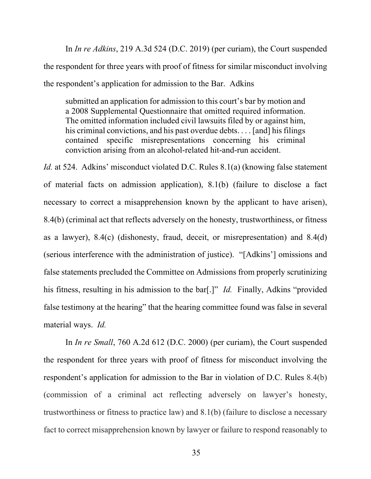In *In re Adkins*, 219 A.3d 524 (D.C. 2019) (per curiam), the Court suspended the respondent for three years with proof of fitness for similar misconduct involving the respondent's application for admission to the Bar. Adkins

submitted an application for admission to this court's bar by motion and a 2008 Supplemental Questionnaire that omitted required information. The omitted information included civil lawsuits filed by or against him, his criminal convictions, and his past overdue debts. . . . [and] his filings contained specific misrepresentations concerning his criminal conviction arising from an alcohol-related hit-and-run accident.

*Id.* at 524. Adkins' misconduct violated D.C. Rules 8.1(a) (knowing false statement of material facts on admission application), 8.1(b) (failure to disclose a fact necessary to correct a misapprehension known by the applicant to have arisen), 8.4(b) (criminal act that reflects adversely on the honesty, trustworthiness, or fitness as a lawyer), 8.4(c) (dishonesty, fraud, deceit, or misrepresentation) and 8.4(d) (serious interference with the administration of justice). "[Adkins'] omissions and false statements precluded the Committee on Admissions from properly scrutinizing his fitness, resulting in his admission to the bar[.]" *Id.* Finally, Adkins "provided false testimony at the hearing" that the hearing committee found was false in several material ways. *Id.*

In *In re Small*, 760 A.2d 612 (D.C. 2000) (per curiam), the Court suspended the respondent for three years with proof of fitness for misconduct involving the respondent's application for admission to the Bar in violation of D.C. Rules 8.4(b) (commission of a criminal act reflecting adversely on lawyer's honesty, trustworthiness or fitness to practice law) and 8.1(b) (failure to disclose a necessary fact to correct misapprehension known by lawyer or failure to respond reasonably to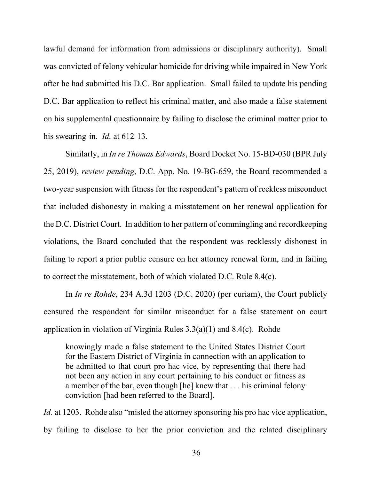lawful demand for information from admissions or disciplinary authority). Small was convicted of felony vehicular homicide for driving while impaired in New York after he had submitted his D.C. Bar application. Small failed to update his pending D.C. Bar application to reflect his criminal matter, and also made a false statement on his supplemental questionnaire by failing to disclose the criminal matter prior to his swearing-in. *Id.* at 612-13.

Similarly, in *In re Thomas Edwards*, Board Docket No. 15-BD-030 (BPR July 25, 2019), *review pending*, D.C. App. No. 19-BG-659, the Board recommended a two-year suspension with fitness for the respondent's pattern of reckless misconduct that included dishonesty in making a misstatement on her renewal application for the D.C. District Court. In addition to her pattern of commingling and recordkeeping violations, the Board concluded that the respondent was recklessly dishonest in failing to report a prior public censure on her attorney renewal form, and in failing to correct the misstatement, both of which violated D.C. Rule 8.4(c).

 In *In re Rohde*, 234 A.3d 1203 (D.C. 2020) (per curiam), the Court publicly censured the respondent for similar misconduct for a false statement on court application in violation of Virginia Rules 3.3(a)(1) and 8.4(c). Rohde

knowingly made a false statement to the United States District Court for the Eastern District of Virginia in connection with an application to be admitted to that court pro hac vice, by representing that there had not been any action in any court pertaining to his conduct or fitness as a member of the bar, even though [he] knew that . . . his criminal felony conviction [had been referred to the Board].

*Id.* at 1203. Rohde also "misled the attorney sponsoring his pro hac vice application, by failing to disclose to her the prior conviction and the related disciplinary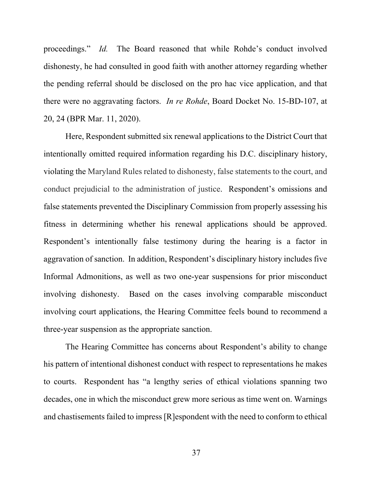proceedings." *Id.* The Board reasoned that while Rohde's conduct involved dishonesty, he had consulted in good faith with another attorney regarding whether the pending referral should be disclosed on the pro hac vice application, and that there were no aggravating factors. *In re Rohde*, Board Docket No. 15-BD-107, at 20, 24 (BPR Mar. 11, 2020).

Here, Respondent submitted six renewal applications to the District Court that intentionally omitted required information regarding his D.C. disciplinary history, violating the Maryland Rules related to dishonesty, false statements to the court, and conduct prejudicial to the administration of justice. Respondent's omissions and false statements prevented the Disciplinary Commission from properly assessing his fitness in determining whether his renewal applications should be approved. Respondent's intentionally false testimony during the hearing is a factor in aggravation of sanction. In addition, Respondent's disciplinary history includes five Informal Admonitions, as well as two one-year suspensions for prior misconduct involving dishonesty. Based on the cases involving comparable misconduct involving court applications, the Hearing Committee feels bound to recommend a three-year suspension as the appropriate sanction.

The Hearing Committee has concerns about Respondent's ability to change his pattern of intentional dishonest conduct with respect to representations he makes to courts. Respondent has "a lengthy series of ethical violations spanning two decades, one in which the misconduct grew more serious as time went on. Warnings and chastisements failed to impress [R]espondent with the need to conform to ethical

37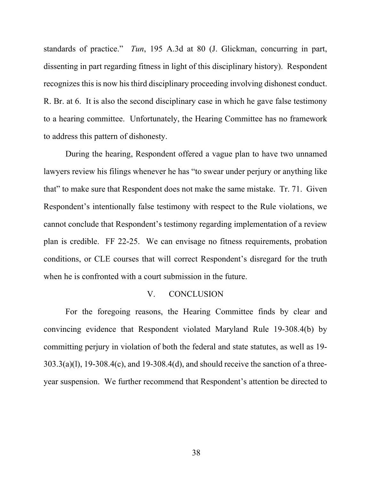standards of practice." *Tun*, 195 A.3d at 80 (J. Glickman, concurring in part, dissenting in part regarding fitness in light of this disciplinary history). Respondent recognizes this is now his third disciplinary proceeding involving dishonest conduct. R. Br. at 6. It is also the second disciplinary case in which he gave false testimony to a hearing committee. Unfortunately, the Hearing Committee has no framework to address this pattern of dishonesty.

During the hearing, Respondent offered a vague plan to have two unnamed lawyers review his filings whenever he has "to swear under perjury or anything like that" to make sure that Respondent does not make the same mistake. Tr. 71. Given Respondent's intentionally false testimony with respect to the Rule violations, we cannot conclude that Respondent's testimony regarding implementation of a review plan is credible. FF 22-25. We can envisage no fitness requirements, probation conditions, or CLE courses that will correct Respondent's disregard for the truth when he is confronted with a court submission in the future.

# V. CONCLUSION

For the foregoing reasons, the Hearing Committee finds by clear and convincing evidence that Respondent violated Maryland Rule 19-308.4(b) by committing perjury in violation of both the federal and state statutes, as well as 19-  $303.3(a)(1)$ ,  $19-308.4(c)$ , and  $19-308.4(d)$ , and should receive the sanction of a threeyear suspension. We further recommend that Respondent's attention be directed to